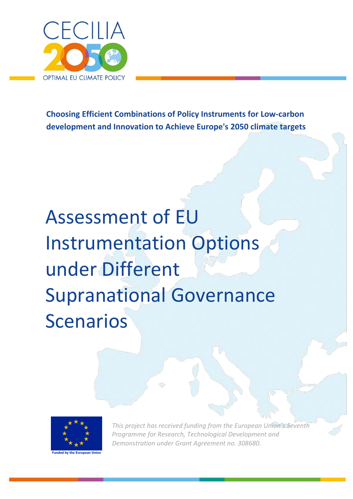

**Choosing Efficient Combinations of Policy Instruments for Low-carbon development and Innovation to Achieve Europe's 2050 climate targets**

# Assessment of EU Instrumentation Options under Different Supranational Governance Scenarios



*This project has received funding from the European Union's Seventh Programme for Research, Technological Development and Demonstration under Grant Agreement no. 308680.*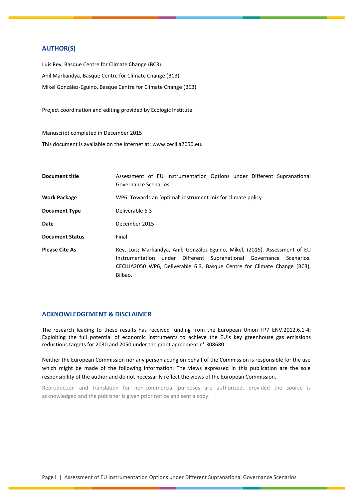#### **AUTHOR(S)**

Luis Rey, Basque Centre for Climate Change (BC3). Anil Markandya, Basque Centre for Climate Change (BC3). Mikel González-Eguino, Basque Centre for Climate Change (BC3).

Project coordination and editing provided by Ecologic Institute.

Manuscript completed in December 2015 This document is available on the Internet at: www.cecilia2050.eu.

| <b>Document title</b>  | Assessment of EU Instrumentation Options under Different Supranational<br>Governance Scenarios                                                                                                                                              |  |  |  |  |
|------------------------|---------------------------------------------------------------------------------------------------------------------------------------------------------------------------------------------------------------------------------------------|--|--|--|--|
| <b>Work Package</b>    | WP6: Towards an 'optimal' instrument mix for climate policy                                                                                                                                                                                 |  |  |  |  |
| <b>Document Type</b>   | Deliverable 6.3                                                                                                                                                                                                                             |  |  |  |  |
| Date                   | December 2015                                                                                                                                                                                                                               |  |  |  |  |
| <b>Document Status</b> | Final                                                                                                                                                                                                                                       |  |  |  |  |
| <b>Please Cite As</b>  | Rey, Luis; Markandya, Anil; González-Eguino, Mikel, (2015). Assessment of EU<br>Instrumentation under Different Supranational Governance Scenarios.<br>CECILIA2050 WP6, Deliverable 6.3. Basque Centre for Climate Change (BC3),<br>Bilbao. |  |  |  |  |

#### **ACKNOWLEDGEMENT & DISCLAIMER**

The research leading to these results has received funding from the European Union FP7 ENV.2012.6.1-4: Exploiting the full potential of economic instruments to achieve the EU's key greenhouse gas emissions reductions targets for 2030 and 2050 under the grant agreement n° 308680.

Neither the European Commission nor any person acting on behalf of the Commission is responsible for the use which might be made of the following information. The views expressed in this publication are the sole responsibility of the author and do not necessarily reflect the views of the European Commission.

Reproduction and translation for non-commercial purposes are authorized, provided the source is acknowledged and the publisher is given prior notice and sent a copy.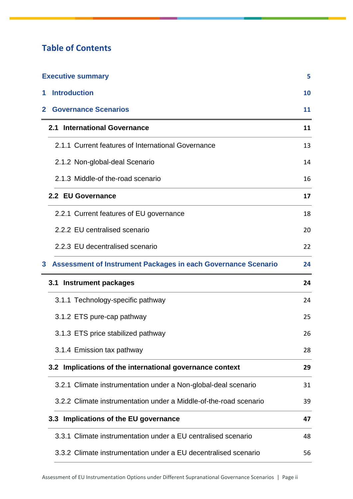# **Table of Contents**

| <b>Executive summary</b> |                                                                      |    |  |  |
|--------------------------|----------------------------------------------------------------------|----|--|--|
| 1                        | <b>Introduction</b>                                                  | 10 |  |  |
| 2                        | <b>Governance Scenarios</b>                                          | 11 |  |  |
|                          | 2.1 International Governance                                         | 11 |  |  |
|                          | 2.1.1 Current features of International Governance                   | 13 |  |  |
|                          | 2.1.2 Non-global-deal Scenario                                       | 14 |  |  |
|                          | 2.1.3 Middle-of the-road scenario                                    | 16 |  |  |
|                          | 2.2 EU Governance                                                    | 17 |  |  |
|                          | 2.2.1 Current features of EU governance                              | 18 |  |  |
|                          | 2.2.2 EU centralised scenario                                        | 20 |  |  |
|                          | 2.2.3 EU decentralised scenario                                      | 22 |  |  |
| 3                        | <b>Assessment of Instrument Packages in each Governance Scenario</b> | 24 |  |  |
|                          | <b>Instrument packages</b><br>3.1                                    | 24 |  |  |
|                          | 3.1.1 Technology-specific pathway                                    | 24 |  |  |
|                          | 3.1.2 ETS pure-cap pathway                                           | 25 |  |  |
|                          | 3.1.3 ETS price stabilized pathway                                   | 26 |  |  |
|                          | 3.1.4 Emission tax pathway                                           | 28 |  |  |
|                          | 3.2 Implications of the international governance context             | 29 |  |  |
|                          | 3.2.1 Climate instrumentation under a Non-global-deal scenario       | 31 |  |  |
|                          | 3.2.2 Climate instrumentation under a Middle-of-the-road scenario    | 39 |  |  |
|                          | 3.3 Implications of the EU governance                                | 47 |  |  |
|                          | 3.3.1 Climate instrumentation under a EU centralised scenario        | 48 |  |  |
|                          | 3.3.2 Climate instrumentation under a EU decentralised scenario      | 56 |  |  |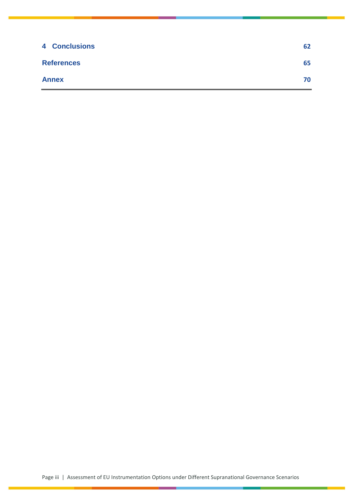| <b>4 Conclusions</b> | 62 |
|----------------------|----|
| <b>References</b>    | 65 |
| <b>Annex</b>         | 70 |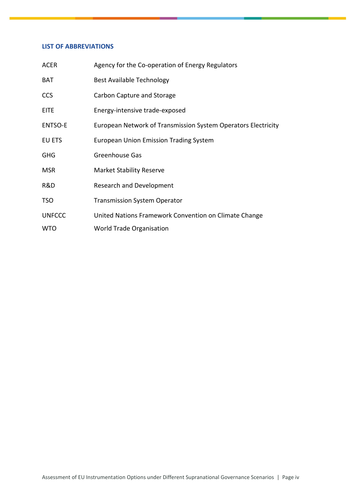#### **LIST OF ABBREVIATIONS**

| <b>ACER</b>    | Agency for the Co-operation of Energy Regulators              |
|----------------|---------------------------------------------------------------|
| <b>BAT</b>     | <b>Best Available Technology</b>                              |
| <b>CCS</b>     | Carbon Capture and Storage                                    |
| <b>EITE</b>    | Energy-intensive trade-exposed                                |
| <b>ENTSO-E</b> | European Network of Transmission System Operators Electricity |
| EU ETS         | <b>European Union Emission Trading System</b>                 |
| <b>GHG</b>     | Greenhouse Gas                                                |
| <b>MSR</b>     | <b>Market Stability Reserve</b>                               |
| R&D            | <b>Research and Development</b>                               |
| <b>TSO</b>     | <b>Transmission System Operator</b>                           |
| <b>UNFCCC</b>  | United Nations Framework Convention on Climate Change         |
| <b>WTO</b>     | World Trade Organisation                                      |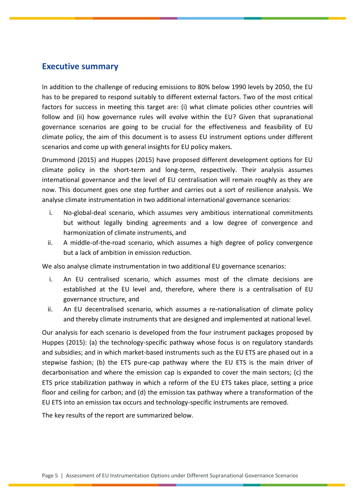## <span id="page-5-0"></span>**Executive summary**

In addition to the challenge of reducing emissions to 80% below 1990 levels by 2050, the EU has to be prepared to respond suitably to different external factors. Two of the most critical factors for success in meeting this target are: (i) what climate policies other countries will follow and (ii) how governance rules will evolve within the EU? Given that supranational governance scenarios are going to be crucial for the effectiveness and feasibility of EU climate policy, the aim of this document is to assess EU instrument options under different scenarios and come up with general insights for EU policy makers.

Drummond (2015) and Huppes (2015) have proposed different development options for EU climate policy in the short-term and long-term, respectively. Their analysis assumes international governance and the level of EU centralisation will remain roughly as they are now. This document goes one step further and carries out a sort of resilience analysis. We analyse climate instrumentation in two additional international governance scenarios:

- i. No-global-deal scenario, which assumes very ambitious international commitments but without legally binding agreements and a low degree of convergence and harmonization of climate instruments, and
- ii. A middle-of-the-road scenario, which assumes a high degree of policy convergence but a lack of ambition in emission reduction.

We also analyse climate instrumentation in two additional EU governance scenarios:

- i. An EU centralised scenario, which assumes most of the climate decisions are established at the EU level and, therefore, where there is a centralisation of EU governance structure, and
- ii. An EU decentralised scenario, which assumes a re-nationalisation of climate policy and thereby climate instruments that are designed and implemented at national level.

Our analysis for each scenario is developed from the four instrument packages proposed by Huppes (2015): (a) the technology-specific pathway whose focus is on regulatory standards and subsidies; and in which market-based instruments such as the EU ETS are phased out in a stepwise fashion; (b) the ETS pure-cap pathway where the EU ETS is the main driver of decarbonisation and where the emission cap is expanded to cover the main sectors; (c) the ETS price stabilization pathway in which a reform of the EU ETS takes place, setting a price floor and ceiling for carbon; and (d) the emission tax pathway where a transformation of the EU ETS into an emission tax occurs and technology-specific instruments are removed.

The key results of the report are summarized below.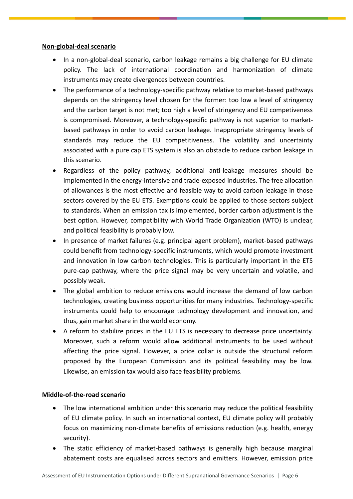## **Non-global-deal scenario**

- In a non-global-deal scenario, carbon leakage remains a big challenge for EU climate policy. The lack of international coordination and harmonization of climate instruments may create divergences between countries.
- The performance of a technology-specific pathway relative to market-based pathways depends on the stringency level chosen for the former: too low a level of stringency and the carbon target is not met; too high a level of stringency and EU competiveness is compromised. Moreover, a technology-specific pathway is not superior to marketbased pathways in order to avoid carbon leakage. Inappropriate stringency levels of standards may reduce the EU competitiveness. The volatility and uncertainty associated with a pure cap ETS system is also an obstacle to reduce carbon leakage in this scenario.
- Regardless of the policy pathway, additional anti-leakage measures should be implemented in the energy-intensive and trade-exposed industries. The free allocation of allowances is the most effective and feasible way to avoid carbon leakage in those sectors covered by the EU ETS. Exemptions could be applied to those sectors subject to standards. When an emission tax is implemented, border carbon adjustment is the best option. However, compatibility with World Trade Organization (WTO) is unclear, and political feasibility is probably low.
- In presence of market failures (e.g. principal agent problem), market-based pathways could benefit from technology-specific instruments, which would promote investment and innovation in low carbon technologies. This is particularly important in the ETS pure-cap pathway, where the price signal may be very uncertain and volatile, and possibly weak.
- The global ambition to reduce emissions would increase the demand of low carbon technologies, creating business opportunities for many industries. Technology-specific instruments could help to encourage technology development and innovation, and thus, gain market share in the world economy.
- A reform to stabilize prices in the EU ETS is necessary to decrease price uncertainty. Moreover, such a reform would allow additional instruments to be used without affecting the price signal. However, a price collar is outside the structural reform proposed by the European Commission and its political feasibility may be low. Likewise, an emission tax would also face feasibility problems.

## **Middle-of-the-road scenario**

- The low international ambition under this scenario may reduce the political feasibility of EU climate policy. In such an international context, EU climate policy will probably focus on maximizing non-climate benefits of emissions reduction (e.g. health, energy security).
- The static efficiency of market-based pathways is generally high because marginal abatement costs are equalised across sectors and emitters. However, emission price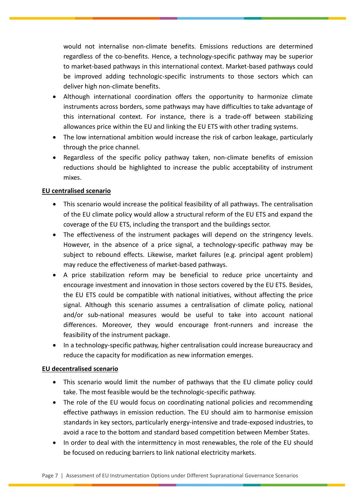would not internalise non-climate benefits. Emissions reductions are determined regardless of the co-benefits. Hence, a technology-specific pathway may be superior to market-based pathways in this international context. Market-based pathways could be improved adding technologic-specific instruments to those sectors which can deliver high non-climate benefits.

- Although international coordination offers the opportunity to harmonize climate instruments across borders, some pathways may have difficulties to take advantage of this international context. For instance, there is a trade-off between stabilizing allowances price within the EU and linking the EU ETS with other trading systems.
- The low international ambition would increase the risk of carbon leakage, particularly through the price channel.
- Regardless of the specific policy pathway taken, non-climate benefits of emission reductions should be highlighted to increase the public acceptability of instrument mixes.

## **EU centralised scenario**

- This scenario would increase the political feasibility of all pathways. The centralisation of the EU climate policy would allow a structural reform of the EU ETS and expand the coverage of the EU ETS, including the transport and the buildings sector.
- The effectiveness of the instrument packages will depend on the stringency levels. However, in the absence of a price signal, a technology-specific pathway may be subject to rebound effects. Likewise, market failures (e.g. principal agent problem) may reduce the effectiveness of market-based pathways.
- A price stabilization reform may be beneficial to reduce price uncertainty and encourage investment and innovation in those sectors covered by the EU ETS. Besides, the EU ETS could be compatible with national initiatives, without affecting the price signal. Although this scenario assumes a centralisation of climate policy, national and/or sub-national measures would be useful to take into account national differences. Moreover, they would encourage front-runners and increase the feasibility of the instrument package.
- In a technology-specific pathway, higher centralisation could increase bureaucracy and reduce the capacity for modification as new information emerges.

## **EU decentralised scenario**

- This scenario would limit the number of pathways that the EU climate policy could take. The most feasible would be the technologic-specific pathway.
- The role of the EU would focus on coordinating national policies and recommending effective pathways in emission reduction. The EU should aim to harmonise emission standards in key sectors, particularly energy-intensive and trade-exposed industries, to avoid a race to the bottom and standard based competition between Member States.
- In order to deal with the intermittency in most renewables, the role of the EU should be focused on reducing barriers to link national electricity markets.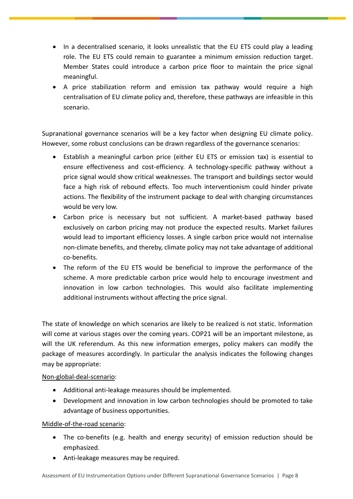- In a decentralised scenario, it looks unrealistic that the EU ETS could play a leading role. The EU ETS could remain to guarantee a minimum emission reduction target. Member States could introduce a carbon price floor to maintain the price signal meaningful.
- A price stabilization reform and emission tax pathway would require a high centralisation of EU climate policy and, therefore, these pathways are infeasible in this scenario.

Supranational governance scenarios will be a key factor when designing EU climate policy. However, some robust conclusions can be drawn regardless of the governance scenarios:

- Establish a meaningful carbon price (either EU ETS or emission tax) is essential to ensure effectiveness and cost-efficiency. A technology-specific pathway without a price signal would show critical weaknesses. The transport and buildings sector would face a high risk of rebound effects. Too much interventionism could hinder private actions. The flexibility of the instrument package to deal with changing circumstances would be very low.
- Carbon price is necessary but not sufficient. A market-based pathway based exclusively on carbon pricing may not produce the expected results. Market failures would lead to important efficiency losses. A single carbon price would not internalise non-climate benefits, and thereby, climate policy may not take advantage of additional co-benefits.
- The reform of the EU ETS would be beneficial to improve the performance of the scheme. A more predictable carbon price would help to encourage investment and innovation in low carbon technologies. This would also facilitate implementing additional instruments without affecting the price signal.

The state of knowledge on which scenarios are likely to be realized is not static. Information will come at various stages over the coming years. COP21 will be an important milestone, as will the UK referendum. As this new information emerges, policy makers can modify the package of measures accordingly. In particular the analysis indicates the following changes may be appropriate:

## Non-global-deal-scenario:

- Additional anti-leakage measures should be implemented.
- Development and innovation in low carbon technologies should be promoted to take advantage of business opportunities.

## Middle-of-the-road scenario:

- The co-benefits (e.g. health and energy security) of emission reduction should be emphasized.
- Anti-leakage measures may be required.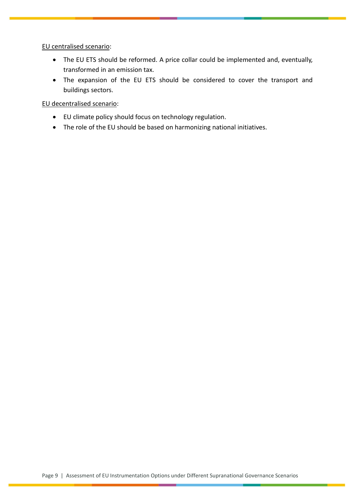EU centralised scenario:

- The EU ETS should be reformed. A price collar could be implemented and, eventually, transformed in an emission tax.
- The expansion of the EU ETS should be considered to cover the transport and buildings sectors.

EU decentralised scenario:

- EU climate policy should focus on technology regulation.
- The role of the EU should be based on harmonizing national initiatives.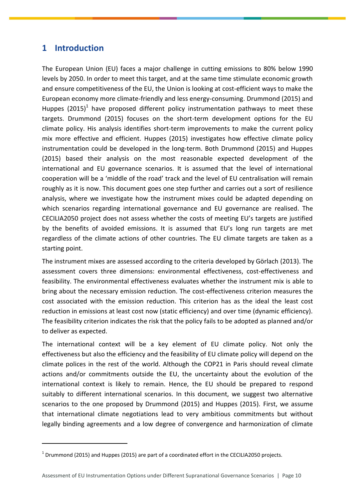# <span id="page-10-0"></span>**1 Introduction**

 $\overline{a}$ 

The European Union (EU) faces a major challenge in cutting emissions to 80% below 1990 levels by 2050. In order to meet this target, and at the same time stimulate economic growth and ensure competitiveness of the EU, the Union is looking at cost-efficient ways to make the European economy more climate-friendly and less energy-consuming. Drummond (2015) and Huppes (2015)<sup>1</sup> have proposed different policy instrumentation pathways to meet these targets. Drummond (2015) focuses on the short-term development options for the EU climate policy. His analysis identifies short-term improvements to make the current policy mix more effective and efficient. Huppes (2015) investigates how effective climate policy instrumentation could be developed in the long-term. Both Drummond (2015) and Huppes (2015) based their analysis on the most reasonable expected development of the international and EU governance scenarios. It is assumed that the level of international cooperation will be a 'middle of the road' track and the level of EU centralisation will remain roughly as it is now. This document goes one step further and carries out a sort of resilience analysis, where we investigate how the instrument mixes could be adapted depending on which scenarios regarding international governance and EU governance are realised. The CECILIA2050 project does not assess whether the costs of meeting EU's targets are justified by the benefits of avoided emissions. It is assumed that EU's long run targets are met regardless of the climate actions of other countries. The EU climate targets are taken as a starting point.

The instrument mixes are assessed according to the criteria developed by Görlach (2013). The assessment covers three dimensions: environmental effectiveness, cost-effectiveness and feasibility. The environmental effectiveness evaluates whether the instrument mix is able to bring about the necessary emission reduction. The cost-effectiveness criterion measures the cost associated with the emission reduction. This criterion has as the ideal the least cost reduction in emissions at least cost now (static efficiency) and over time (dynamic efficiency). The feasibility criterion indicates the risk that the policy fails to be adopted as planned and/or to deliver as expected.

The international context will be a key element of EU climate policy. Not only the effectiveness but also the efficiency and the feasibility of EU climate policy will depend on the climate polices in the rest of the world. Although the COP21 in Paris should reveal climate actions and/or commitments outside the EU, the uncertainty about the evolution of the international context is likely to remain. Hence, the EU should be prepared to respond suitably to different international scenarios. In this document, we suggest two alternative scenarios to the one proposed by Drummond (2015) and Huppes (2015). First, we assume that international climate negotiations lead to very ambitious commitments but without legally binding agreements and a low degree of convergence and harmonization of climate

 $^1$  Drummond (2015) and Huppes (2015) are part of a coordinated effort in the CECILIA2050 projects.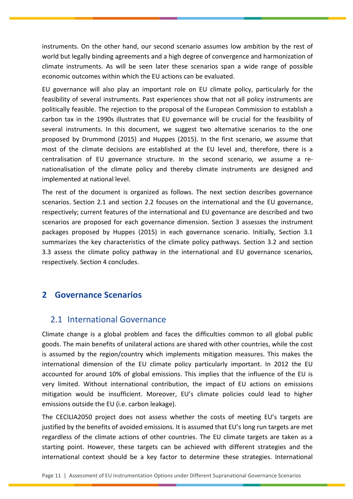instruments. On the other hand, our second scenario assumes low ambition by the rest of world but legally binding agreements and a high degree of convergence and harmonization of climate instruments. As will be seen later these scenarios span a wide range of possible economic outcomes within which the EU actions can be evaluated.

EU governance will also play an important role on EU climate policy, particularly for the feasibility of several instruments. Past experiences show that not all policy instruments are politically feasible. The rejection to the proposal of the European Commission to establish a carbon tax in the 1990s illustrates that EU governance will be crucial for the feasibility of several instruments. In this document, we suggest two alternative scenarios to the one proposed by Drummond (2015) and Huppes (2015). In the first scenario, we assume that most of the climate decisions are established at the EU level and, therefore, there is a centralisation of EU governance structure. In the second scenario, we assume a renationalisation of the climate policy and thereby climate instruments are designed and implemented at national level.

The rest of the document is organized as follows. The next section describes governance scenarios. Section 2.1 and section 2.2 focuses on the international and the EU governance, respectively; current features of the international and EU governance are described and two scenarios are proposed for each governance dimension. Section 3 assesses the instrument packages proposed by Huppes (2015) in each governance scenario. Initially, Section 3.1 summarizes the key characteristics of the climate policy pathways. Section 3.2 and section 3.3 assess the climate policy pathway in the international and EU governance scenarios, respectively. Section 4 concludes.

# <span id="page-11-0"></span>**2 Governance Scenarios**

## <span id="page-11-1"></span>2.1 International Governance

Climate change is a global problem and faces the difficulties common to all global public goods. The main benefits of unilateral actions are shared with other countries, while the cost is assumed by the region/country which implements mitigation measures. This makes the international dimension of the EU climate policy particularly important. In 2012 the EU accounted for around 10% of global emissions. This implies that the influence of the EU is very limited. Without international contribution, the impact of EU actions on emissions mitigation would be insufficient. Moreover, EU's climate policies could lead to higher emissions outside the EU (i.e. carbon leakage).

The CECILIA2050 project does not assess whether the costs of meeting EU's targets are justified by the benefits of avoided emissions. It is assumed that EU's long run targets are met regardless of the climate actions of other countries. The EU climate targets are taken as a starting point. However, these targets can be achieved with different strategies and the international context should be a key factor to determine these strategies. International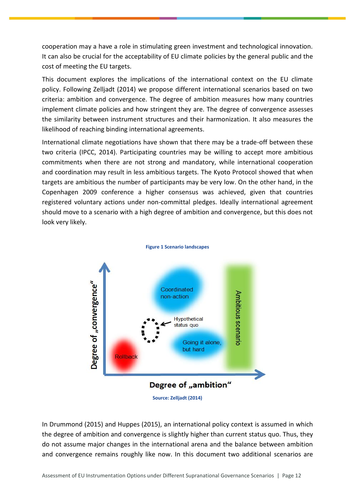cooperation may a have a role in stimulating green investment and technological innovation. It can also be crucial for the acceptability of EU climate policies by the general public and the cost of meeting the EU targets.

This document explores the implications of the international context on the EU climate policy. Following Zelljadt (2014) we propose different international scenarios based on two criteria: ambition and convergence. The degree of ambition measures how many countries implement climate policies and how stringent they are. The degree of convergence assesses the similarity between instrument structures and their harmonization. It also measures the likelihood of reaching binding international agreements.

International climate negotiations have shown that there may be a trade-off between these two criteria (IPCC, 2014). Participating countries may be willing to accept more ambitious commitments when there are not strong and mandatory, while international cooperation and coordination may result in less ambitious targets. The Kyoto Protocol showed that when targets are ambitious the number of participants may be very low. On the other hand, in the Copenhagen 2009 conference a higher consensus was achieved, given that countries registered voluntary actions under non-committal pledges. Ideally international agreement should move to a scenario with a high degree of ambition and convergence, but this does not look very likely.



**Figure 1 Scenario landscapes**

**Source: Zelljadt (2014)**

In Drummond (2015) and Huppes (2015), an international policy context is assumed in which the degree of ambition and convergence is slightly higher than current status quo. Thus, they do not assume major changes in the international arena and the balance between ambition and convergence remains roughly like now. In this document two additional scenarios are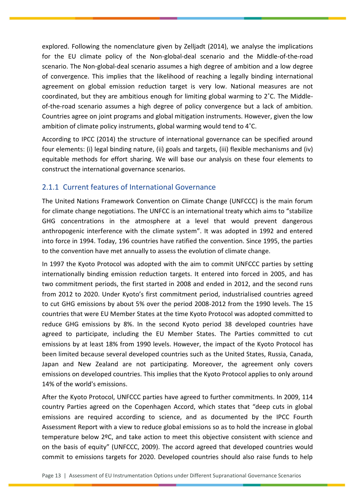explored. Following the nomenclature given by Zelljadt (2014), we analyse the implications for the EU climate policy of the Non-global-deal scenario and the Middle-of-the-road scenario. The Non-global-deal scenario assumes a high degree of ambition and a low degree of convergence. This implies that the likelihood of reaching a legally binding international agreement on global emission reduction target is very low. National measures are not coordinated, but they are ambitious enough for limiting global warming to 2˚C. The Middleof-the-road scenario assumes a high degree of policy convergence but a lack of ambition. Countries agree on joint programs and global mitigation instruments. However, given the low ambition of climate policy instruments, global warming would tend to 4˚C.

According to IPCC (2014) the structure of international governance can be specified around four elements: (i) legal binding nature, (ii) goals and targets, (iii) flexible mechanisms and (iv) equitable methods for effort sharing. We will base our analysis on these four elements to construct the international governance scenarios.

# <span id="page-13-0"></span>2.1.1 Current features of International Governance

The United Nations Framework Convention on Climate Change (UNFCCC) is the main forum for climate change negotiations. The UNFCC is an international treaty which aims to "stabilize GHG concentrations in the atmosphere at a level that would prevent dangerous anthropogenic interference with the climate system". It was adopted in 1992 and entered into force in 1994. Today, 196 countries have ratified the convention. Since 1995, the parties to the convention have met annually to assess the evolution of climate change.

In 1997 the Kyoto Protocol was adopted with the aim to commit UNFCCC parties by setting internationally binding emission reduction targets. It entered into forced in 2005, and has two commitment periods, the first started in 2008 and ended in 2012, and the second runs from 2012 to 2020. Under Kyoto's first commitment period, industrialised countries agreed to cut GHG emissions by about 5% over the period 2008-2012 from the 1990 levels. The 15 countries that were EU Member States at the time Kyoto Protocol was adopted committed to reduce GHG emissions by 8%. In the second Kyoto period 38 developed countries have agreed to participate, including the EU Member States. The Parties committed to cut emissions by at least 18% from 1990 levels. However, the impact of the Kyoto Protocol has been limited because several developed countries such as the United States, Russia, Canada, Japan and New Zealand are not participating. Moreover, the agreement only covers emissions on developed countries. This implies that the Kyoto Protocol applies to only around 14% of the world's emissions.

After the Kyoto Protocol, UNFCCC parties have agreed to further commitments. In 2009, 114 country Parties agreed on the Copenhagen Accord, which states that "deep cuts in global emissions are required according to science, and as documented by the IPCC Fourth Assessment Report with a view to reduce global emissions so as to hold the increase in global temperature below 2ºC, and take action to meet this objective consistent with science and on the basis of equity" (UNFCCC, 2009). The accord agreed that developed countries would commit to emissions targets for 2020. Developed countries should also raise funds to help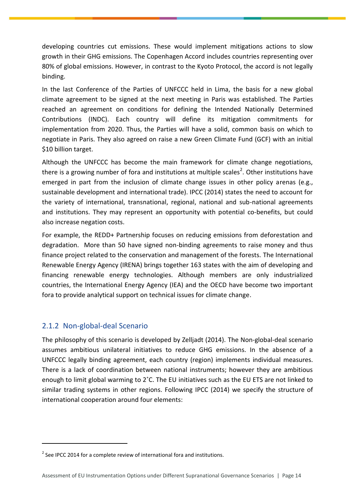developing countries cut emissions. These would implement mitigations actions to slow growth in their GHG emissions. The Copenhagen Accord includes countries representing over 80% of global emissions. However, in contrast to the Kyoto Protocol, the accord is not legally binding.

In the last Conference of the Parties of UNFCCC held in Lima, the basis for a new global climate agreement to be signed at the next meeting in Paris was established. The Parties reached an agreement on conditions for defining the Intended Nationally Determined Contributions (INDC). Each country will define its mitigation commitments for implementation from 2020. Thus, the Parties will have a solid, common basis on which to negotiate in Paris. They also agreed on raise a new Green Climate Fund (GCF) with an initial \$10 billion target.

Although the UNFCCC has become the main framework for climate change negotiations, there is a growing number of fora and institutions at multiple scales<sup>2</sup>. Other institutions have emerged in part from the inclusion of climate change issues in other policy arenas (e.g., sustainable development and international trade). IPCC (2014) states the need to account for the variety of international, transnational, regional, national and sub-national agreements and institutions. They may represent an opportunity with potential co-benefits, but could also increase negation costs.

For example, the REDD+ Partnership focuses on reducing emissions from deforestation and degradation. More than 50 have signed non-binding agreements to raise money and thus finance project related to the conservation and management of the forests. The International Renewable Energy Agency (IRENA) brings together 163 states with the aim of developing and financing renewable energy technologies. Although members are only industrialized countries, the International Energy Agency (IEA) and the OECD have become two important fora to provide analytical support on technical issues for climate change.

## <span id="page-14-0"></span>2.1.2 Non-global-deal Scenario

 $\overline{a}$ 

The philosophy of this scenario is developed by Zelljadt (2014). The Non-global-deal scenario assumes ambitious unilateral initiatives to reduce GHG emissions. In the absence of a UNFCCC legally binding agreement, each country (region) implements individual measures. There is a lack of coordination between national instruments; however they are ambitious enough to limit global warming to 2˚C. The EU initiatives such as the EU ETS are not linked to similar trading systems in other regions. Following IPCC (2014) we specify the structure of international cooperation around four elements:

 $2$  See IPCC 2014 for a complete review of international fora and institutions.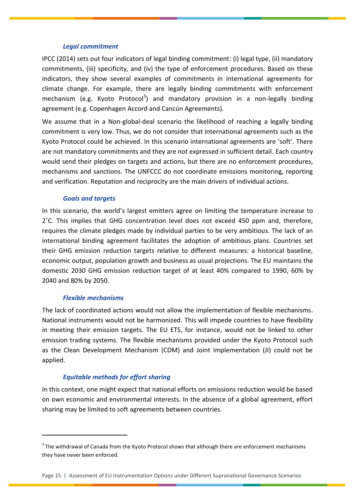#### *Legal commitment*

IPCC (2014) sets out four indicators of legal binding commitment: (i) legal type, (ii) mandatory commitments, (iii) specificity, and (iv) the type of enforcement procedures. Based on these indicators, they show several examples of commitments in international agreements for climate change. For example, there are legally binding commitments with enforcement mechanism (e.g. Kyoto Protocol<sup>3</sup>) and mandatory provision in a non-legally binding agreement (e.g. Copenhagen Accord and Cancún Agreements).

We assume that in a Non-global-deal scenario the likelihood of reaching a legally binding commitment is very low. Thus, we do not consider that international agreements such as the Kyoto Protocol could be achieved. In this scenario international agreements are 'soft'. There are not mandatory commitments and they are not expressed in sufficient detail. Each country would send their pledges on targets and actions, but there are no enforcement procedures, mechanisms and sanctions. The UNFCCC do not coordinate emissions monitoring, reporting and verification. Reputation and reciprocity are the main drivers of individual actions.

#### *Goals and targets*

In this scenario, the world's largest emitters agree on limiting the temperature increase to 2˚C. This implies that GHG concentration level does not exceed 450 ppm and, therefore, requires the climate pledges made by individual parties to be very ambitious. The lack of an international binding agreement facilitates the adoption of ambitious plans. Countries set their GHG emission reduction targets relative to different measures: a historical baseline, economic output, population growth and business as usual projections. The EU maintains the domestic 2030 GHG emission reduction target of at least 40% compared to 1990, 60% by 2040 and 80% by 2050.

## *Flexible mechanisms*

 $\overline{a}$ 

The lack of coordinated actions would not allow the implementation of flexible mechanisms. National instruments would not be harmonized. This will impede countries to have flexibility in meeting their emission targets. The EU ETS, for instance, would not be linked to other emission trading systems. The flexible mechanisms provided under the Kyoto Protocol such as the Clean Development Mechanism (CDM) and Joint Implementation (JI) could not be applied.

## *Equitable methods for effort sharing*

In this context, one might expect that national efforts on emissions reduction would be based on own economic and environmental interests. In the absence of a global agreement, effort sharing may be limited to soft agreements between countries.

 $3$  The withdrawal of Canada from the Kyoto Protocol shows that although there are enforcement mechanisms they have never been enforced.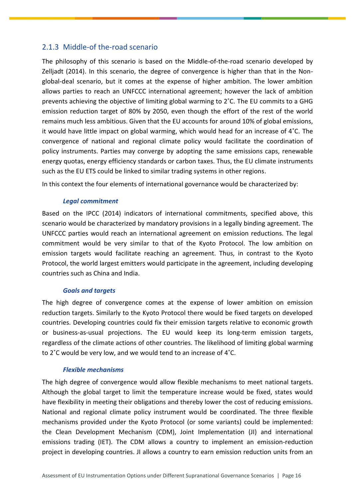## <span id="page-16-0"></span>2.1.3 Middle-of the-road scenario

The philosophy of this scenario is based on the Middle-of-the-road scenario developed by Zelljadt (2014). In this scenario, the degree of convergence is higher than that in the Nonglobal-deal scenario, but it comes at the expense of higher ambition. The lower ambition allows parties to reach an UNFCCC international agreement; however the lack of ambition prevents achieving the objective of limiting global warming to 2˚C. The EU commits to a GHG emission reduction target of 80% by 2050, even though the effort of the rest of the world remains much less ambitious. Given that the EU accounts for around 10% of global emissions, it would have little impact on global warming, which would head for an increase of 4˚C. The convergence of national and regional climate policy would facilitate the coordination of policy instruments. Parties may converge by adopting the same emissions caps, renewable energy quotas, energy efficiency standards or carbon taxes. Thus, the EU climate instruments such as the EU ETS could be linked to similar trading systems in other regions.

In this context the four elements of international governance would be characterized by:

## *Legal commitment*

Based on the IPCC (2014) indicators of international commitments, specified above, this scenario would be characterized by mandatory provisions in a legally binding agreement. The UNFCCC parties would reach an international agreement on emission reductions. The legal commitment would be very similar to that of the Kyoto Protocol. The low ambition on emission targets would facilitate reaching an agreement. Thus, in contrast to the Kyoto Protocol, the world largest emitters would participate in the agreement, including developing countries such as China and India.

## *Goals and targets*

The high degree of convergence comes at the expense of lower ambition on emission reduction targets. Similarly to the Kyoto Protocol there would be fixed targets on developed countries. Developing countries could fix their emission targets relative to economic growth or business-as-usual projections. The EU would keep its long-term emission targets, regardless of the climate actions of other countries. The likelihood of limiting global warming to 2˚C would be very low, and we would tend to an increase of 4˚C.

## *Flexible mechanisms*

The high degree of convergence would allow flexible mechanisms to meet national targets. Although the global target to limit the temperature increase would be fixed, states would have flexibility in meeting their obligations and thereby lower the cost of reducing emissions. National and regional climate policy instrument would be coordinated. The three flexible mechanisms provided under the Kyoto Protocol (or some variants) could be implemented: the Clean Development Mechanism (CDM), Joint Implementation (JI) and international emissions trading (IET). The CDM allows a country to implement an emission-reduction project in developing countries. JI allows a country to earn emission reduction units from an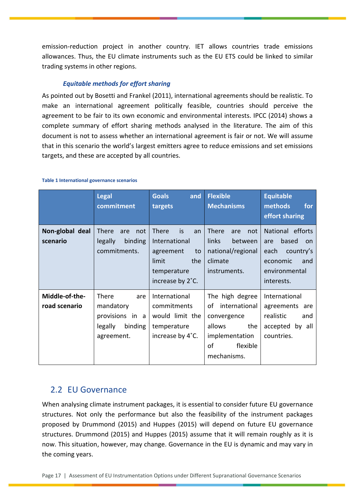emission-reduction project in another country. IET allows countries trade emissions allowances. Thus, the EU climate instruments such as the EU ETS could be linked to similar trading systems in other regions.

## *Equitable methods for effort sharing*

As pointed out by Bosetti and Frankel (2011), international agreements should be realistic. To make an international agreement politically feasible, countries should perceive the agreement to be fair to its own economic and environmental interests. IPCC (2014) shows a complete summary of effort sharing methods analysed in the literature. The aim of this document is not to assess whether an international agreement is fair or not. We will assume that in this scenario the world's largest emitters agree to reduce emissions and set emissions targets, and these are accepted by all countries.

|                                 | <b>Legal</b><br>commitment                                                       | <b>Goals</b><br>and<br>targets                                                                                  | <b>Flexible</b><br><b>Mechanisms</b>                                                                                      | <b>Equitable</b><br>methods<br>for<br>effort sharing                                                          |
|---------------------------------|----------------------------------------------------------------------------------|-----------------------------------------------------------------------------------------------------------------|---------------------------------------------------------------------------------------------------------------------------|---------------------------------------------------------------------------------------------------------------|
| Non-global deal<br>scenario     | There<br>not<br>are<br>legally<br>binding<br>commitments.                        | <b>There</b><br>is<br>an<br>International<br>to<br>agreement<br>limit<br>the<br>temperature<br>increase by 2°C. | <b>There</b><br>not<br>are<br>links<br>between<br>national/regional<br>climate<br>instruments.                            | National efforts<br>based<br>are<br>on<br>each<br>country's<br>and<br>economic<br>environmental<br>interests. |
| Middle-of-the-<br>road scenario | There<br>are<br>mandatory<br>provisions in a<br>binding<br>legally<br>agreement. | International<br>commitments<br>would limit the<br>temperature<br>increase by 4°C.                              | The high degree<br>international<br>of<br>convergence<br>allows<br>the<br>implementation<br>οf<br>flexible<br>mechanisms. | International<br>agreements<br>are<br>realistic<br>and<br>accepted by all<br>countries.                       |

#### **Table 1 International governance scenarios**

# <span id="page-17-0"></span>2.2 EU Governance

When analysing climate instrument packages, it is essential to consider future EU governance structures. Not only the performance but also the feasibility of the instrument packages proposed by Drummond (2015) and Huppes (2015) will depend on future EU governance structures. Drummond (2015) and Huppes (2015) assume that it will remain roughly as it is now. This situation, however, may change. Governance in the EU is dynamic and may vary in the coming years.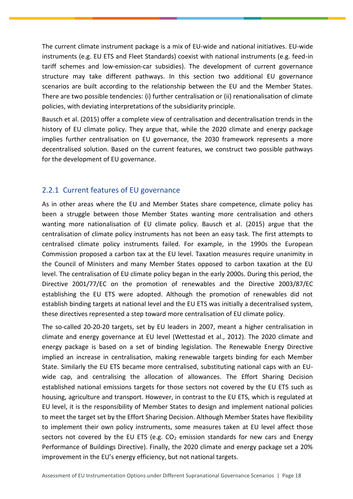The current climate instrument package is a mix of EU-wide and national initiatives. EU-wide instruments (e.g. EU ETS and Fleet Standards) coexist with national instruments (e.g. feed-in tariff schemes and low-emission-car subsidies). The development of current governance structure may take different pathways. In this section two additional EU governance scenarios are built according to the relationship between the EU and the Member States. There are two possible tendencies: (i) further centralisation or (ii) renationalisation of climate policies, with deviating interpretations of the subsidiarity principle.

Bausch et al. (2015) offer a complete view of centralisation and decentralisation trends in the history of EU climate policy. They argue that, while the 2020 climate and energy package implies further centralisation on EU governance, the 2030 framework represents a more decentralised solution. Based on the current features, we construct two possible pathways for the development of EU governance.

# <span id="page-18-0"></span>2.2.1 Current features of EU governance

As in other areas where the EU and Member States share competence, climate policy has been a struggle between those Member States wanting more centralisation and others wanting more nationalisation of EU climate policy. Bausch et al. (2015) argue that the centralisation of climate policy instruments has not been an easy task. The first attempts to centralised climate policy instruments failed. For example, in the 1990s the European Commission proposed a carbon tax at the EU level. Taxation measures require unanimity in the Council of Ministers and many Member States opposed to carbon taxation at the EU level. The centralisation of EU climate policy began in the early 2000s. During this period, the Directive 2001/77/EC on the promotion of renewables and the Directive 2003/87/EC establishing the EU ETS were adopted. Although the promotion of renewables did not establish binding targets at national level and the EU ETS was initially a decentralised system, these directives represented a step toward more centralisation of EU climate policy.

The so-called 20-20-20 targets, set by EU leaders in 2007, meant a higher centralisation in climate and energy governance at EU level (Wettestad et al., 2012). The 2020 climate and energy package is based on a set of binding legislation. The Renewable Energy Directive implied an increase in centralisation, making renewable targets binding for each Member State. Similarly the EU ETS became more centralised, substituting national caps with an EUwide cap, and centralising the allocation of allowances. The Effort Sharing Decision established national emissions targets for those sectors not covered by the EU ETS such as housing, agriculture and transport. However, in contrast to the EU ETS, which is regulated at EU level, it is the responsibility of Member States to design and implement national policies to meet the target set by the Effort Sharing Decision. Although Member States have flexibility to implement their own policy instruments, some measures taken at EU level affect those sectors not covered by the EU ETS (e.g.  $CO<sub>2</sub>$  emission standards for new cars and Energy Performance of Buildings Directive). Finally, the 2020 climate and energy package set a 20% improvement in the EU's energy efficiency, but not national targets.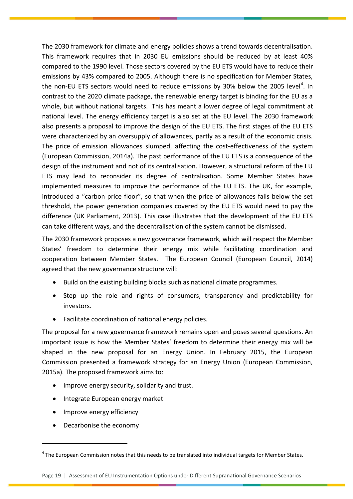The 2030 framework for climate and energy policies shows a trend towards decentralisation. This framework requires that in 2030 EU emissions should be reduced by at least 40% compared to the 1990 level. Those sectors covered by the EU ETS would have to reduce their emissions by 43% compared to 2005. Although there is no specification for Member States, the non-EU ETS sectors would need to reduce emissions by 30% below the 2005 level $^{\rm 4}$ . In contrast to the 2020 climate package, the renewable energy target is binding for the EU as a whole, but without national targets. This has meant a lower degree of legal commitment at national level. The energy efficiency target is also set at the EU level. The 2030 framework also presents a proposal to improve the design of the EU ETS. The first stages of the EU ETS were characterized by an oversupply of allowances, partly as a result of the economic crisis. The price of emission allowances slumped, affecting the cost-effectiveness of the system (European Commission, 2014a). The past performance of the EU ETS is a consequence of the design of the instrument and not of its centralisation. However, a structural reform of the EU ETS may lead to reconsider its degree of centralisation. Some Member States have implemented measures to improve the performance of the EU ETS. The UK, for example, introduced a "carbon price floor", so that when the price of allowances falls below the set threshold, the power generation companies covered by the EU ETS would need to pay the difference (UK Parliament, 2013). This case illustrates that the development of the EU ETS can take different ways, and the decentralisation of the system cannot be dismissed.

The 2030 framework proposes a new governance framework, which will respect the Member States' freedom to determine their energy mix while facilitating coordination and cooperation between Member States. The European Council (European Council, 2014) agreed that the new governance structure will:

- Build on the existing building blocks such as national climate programmes.
- Step up the role and rights of consumers, transparency and predictability for investors.
- Facilitate coordination of national energy policies.

The proposal for a new governance framework remains open and poses several questions. An important issue is how the Member States' freedom to determine their energy mix will be shaped in the new proposal for an Energy Union. In February 2015, the European Commission presented a framework strategy for an Energy Union (European Commission, 2015a). The proposed framework aims to:

- Improve energy security, solidarity and trust.
- Integrate European energy market
- Improve energy efficiency
- Decarbonise the economy

 $\overline{a}$ 

<sup>&</sup>lt;sup>4</sup> The European Commission notes that this needs to be translated into individual targets for Member States.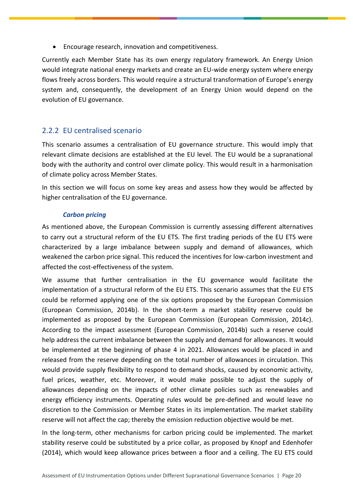Encourage research, innovation and competitiveness.

Currently each Member State has its own energy regulatory framework. An Energy Union would integrate national energy markets and create an EU-wide energy system where energy flows freely across borders. This would require a structural transformation of Europe's energy system and, consequently, the development of an Energy Union would depend on the evolution of EU governance.

## <span id="page-20-0"></span>2.2.2 EU centralised scenario

This scenario assumes a centralisation of EU governance structure. This would imply that relevant climate decisions are established at the EU level. The EU would be a supranational body with the authority and control over climate policy. This would result in a harmonisation of climate policy across Member States.

In this section we will focus on some key areas and assess how they would be affected by higher centralisation of the EU governance.

## *Carbon pricing*

As mentioned above, the European Commission is currently assessing different alternatives to carry out a structural reform of the EU ETS. The first trading periods of the EU ETS were characterized by a large imbalance between supply and demand of allowances, which weakened the carbon price signal. This reduced the incentives for low-carbon investment and affected the cost-effectiveness of the system.

We assume that further centralisation in the EU governance would facilitate the implementation of a structural reform of the EU ETS. This scenario assumes that the EU ETS could be reformed applying one of the six options proposed by the European Commission (European Commission, 2014b). In the short-term a market stability reserve could be implemented as proposed by the European Commission (European Commission, 2014c). According to the impact assessment (European Commission, 2014b) such a reserve could help address the current imbalance between the supply and demand for allowances. It would be implemented at the beginning of phase 4 in 2021. Allowances would be placed in and released from the reserve depending on the total number of allowances in circulation. This would provide supply flexibility to respond to demand shocks, caused by economic activity, fuel prices, weather, etc. Moreover, it would make possible to adjust the supply of allowances depending on the impacts of other climate policies such as renewables and energy efficiency instruments. Operating rules would be pre-defined and would leave no discretion to the Commission or Member States in its implementation. The market stability reserve will not affect the cap; thereby the emission reduction objective would be met.

In the long-term, other mechanisms for carbon pricing could be implemented. The market stability reserve could be substituted by a price collar, as proposed by Knopf and Edenhofer (2014), which would keep allowance prices between a floor and a ceiling. The EU ETS could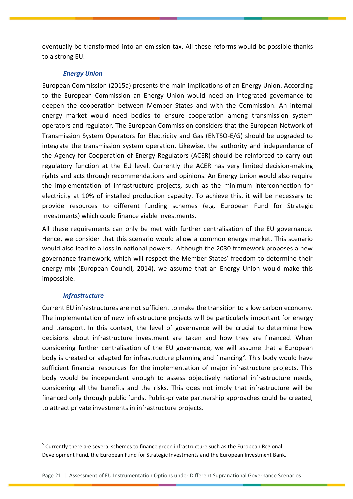eventually be transformed into an emission tax. All these reforms would be possible thanks to a strong EU.

## *Energy Union*

European Commission (2015a) presents the main implications of an Energy Union. According to the European Commission an Energy Union would need an integrated governance to deepen the cooperation between Member States and with the Commission. An internal energy market would need bodies to ensure cooperation among transmission system operators and regulator. The European Commission considers that the European Network of Transmission System Operators for Electricity and Gas (ENTSO-E/G) should be upgraded to integrate the transmission system operation. Likewise, the authority and independence of the Agency for Cooperation of Energy Regulators (ACER) should be reinforced to carry out regulatory function at the EU level. Currently the ACER has very limited decision-making rights and acts through recommendations and opinions. An Energy Union would also require the implementation of infrastructure projects, such as the minimum interconnection for electricity at 10% of installed production capacity. To achieve this, it will be necessary to provide resources to different funding schemes (e.g. European Fund for Strategic Investments) which could finance viable investments.

All these requirements can only be met with further centralisation of the EU governance. Hence, we consider that this scenario would allow a common energy market. This scenario would also lead to a loss in national powers. Although the 2030 framework proposes a new governance framework, which will respect the Member States' freedom to determine their energy mix (European Council, 2014), we assume that an Energy Union would make this impossible.

## *Infrastructure*

 $\overline{a}$ 

Current EU infrastructures are not sufficient to make the transition to a low carbon economy. The implementation of new infrastructure projects will be particularly important for energy and transport. In this context, the level of governance will be crucial to determine how decisions about infrastructure investment are taken and how they are financed. When considering further centralisation of the EU governance, we will assume that a European body is created or adapted for infrastructure planning and financing<sup>5</sup>. This body would have sufficient financial resources for the implementation of major infrastructure projects. This body would be independent enough to assess objectively national infrastructure needs, considering all the benefits and the risks. This does not imply that infrastructure will be financed only through public funds. Public-private partnership approaches could be created, to attract private investments in infrastructure projects.

 $<sup>5</sup>$  Currently there are several schemes to finance green infrastructure such as the European Regional</sup> Development Fund, the European Fund for Strategic Investments and the European Investment Bank.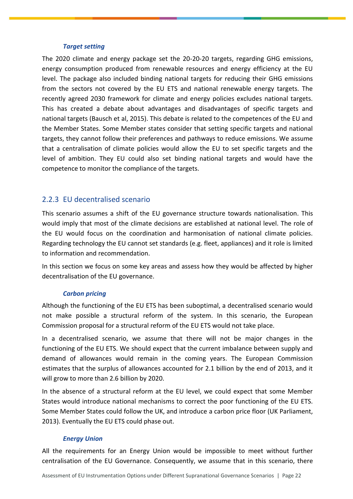#### *Target setting*

The 2020 climate and energy package set the 20-20-20 targets, regarding GHG emissions, energy consumption produced from renewable resources and energy efficiency at the EU level. The package also included binding national targets for reducing their GHG emissions from the sectors not covered by the EU ETS and national renewable energy targets. The recently agreed 2030 framework for climate and energy policies excludes national targets. This has created a debate about advantages and disadvantages of specific targets and national targets (Bausch et al, 2015). This debate is related to the competences of the EU and the Member States. Some Member states consider that setting specific targets and national targets, they cannot follow their preferences and pathways to reduce emissions. We assume that a centralisation of climate policies would allow the EU to set specific targets and the level of ambition. They EU could also set binding national targets and would have the competence to monitor the compliance of the targets.

## <span id="page-22-0"></span>2.2.3 EU decentralised scenario

This scenario assumes a shift of the EU governance structure towards nationalisation. This would imply that most of the climate decisions are established at national level. The role of the EU would focus on the coordination and harmonisation of national climate policies. Regarding technology the EU cannot set standards (e.g. fleet, appliances) and it role is limited to information and recommendation.

In this section we focus on some key areas and assess how they would be affected by higher decentralisation of the EU governance.

## *Carbon pricing*

Although the functioning of the EU ETS has been suboptimal, a decentralised scenario would not make possible a structural reform of the system. In this scenario, the European Commission proposal for a structural reform of the EU ETS would not take place.

In a decentralised scenario, we assume that there will not be major changes in the functioning of the EU ETS. We should expect that the current imbalance between supply and demand of allowances would remain in the coming years. The European Commission estimates that the surplus of allowances accounted for 2.1 billion by the end of 2013, and it will grow to more than 2.6 billion by 2020.

In the absence of a structural reform at the EU level, we could expect that some Member States would introduce national mechanisms to correct the poor functioning of the EU ETS. Some Member States could follow the UK, and introduce a carbon price floor (UK Parliament, 2013). Eventually the EU ETS could phase out.

## *Energy Union*

All the requirements for an Energy Union would be impossible to meet without further centralisation of the EU Governance. Consequently, we assume that in this scenario, there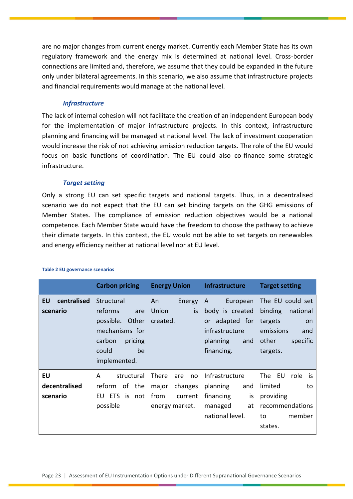are no major changes from current energy market. Currently each Member State has its own regulatory framework and the energy mix is determined at national level. Cross-border connections are limited and, therefore, we assume that they could be expanded in the future only under bilateral agreements. In this scenario, we also assume that infrastructure projects and financial requirements would manage at the national level.

## *Infrastructure*

The lack of internal cohesion will not facilitate the creation of an independent European body for the implementation of major infrastructure projects. In this context, infrastructure planning and financing will be managed at national level. The lack of investment cooperation would increase the risk of not achieving emission reduction targets. The role of the EU would focus on basic functions of coordination. The EU could also co-finance some strategic infrastructure.

## *Target setting*

Only a strong EU can set specific targets and national targets. Thus, in a decentralised scenario we do not expect that the EU can set binding targets on the GHG emissions of Member States. The compliance of emission reduction objectives would be a national competence. Each Member State would have the freedom to choose the pathway to achieve their climate targets. In this context, the EU would not be able to set targets on renewables and energy efficiency neither at national level nor at EU level.

|                                 | <b>Carbon pricing</b>                                                                                                 | <b>Energy Union</b>                                                         | <b>Infrastructure</b>                                                                                           | <b>Target setting</b>                                                                                                |
|---------------------------------|-----------------------------------------------------------------------------------------------------------------------|-----------------------------------------------------------------------------|-----------------------------------------------------------------------------------------------------------------|----------------------------------------------------------------------------------------------------------------------|
| centralised<br>EU<br>scenario   | Structural<br>reforms<br>are<br>possible. Other<br>mechanisms for<br>carbon<br>pricing<br>could<br>be<br>implemented. | An<br>Energy<br>is<br>Union<br>created.                                     | European<br>A<br>body is created<br>adapted for<br><b>or</b><br>infrastructure<br>planning<br>and<br>financing. | The EU could set<br>binding<br>national<br>targets<br><b>on</b><br>emissions<br>and<br>other<br>specific<br>targets. |
| EU<br>decentralised<br>scenario | structural<br>A<br>reform of the<br>EU ETS<br>is<br>not<br>possible                                                   | There<br>are<br>no<br>major<br>changes<br>from<br>current<br>energy market. | Infrastructure<br>planning<br>and<br>financing<br>is<br>managed<br>at<br>national level.                        | The EU<br>role<br>is<br>limited<br>to<br>providing<br>recommendations<br>member<br>to<br>states.                     |

#### **Table 2 EU governance scenarios**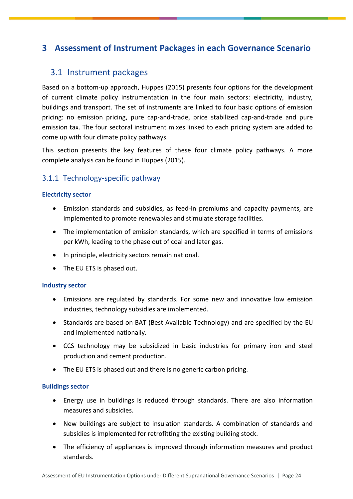# <span id="page-24-0"></span>**3 Assessment of Instrument Packages in each Governance Scenario**

# <span id="page-24-1"></span>3.1 Instrument packages

Based on a bottom-up approach, Huppes (2015) presents four options for the development of current climate policy instrumentation in the four main sectors: electricity, industry, buildings and transport. The set of instruments are linked to four basic options of emission pricing: no emission pricing, pure cap-and-trade, price stabilized cap-and-trade and pure emission tax. The four sectoral instrument mixes linked to each pricing system are added to come up with four climate policy pathways.

This section presents the key features of these four climate policy pathways. A more complete analysis can be found in Huppes (2015).

# <span id="page-24-2"></span>3.1.1 Technology-specific pathway

## **Electricity sector**

- Emission standards and subsidies, as feed-in premiums and capacity payments, are implemented to promote renewables and stimulate storage facilities.
- The implementation of emission standards, which are specified in terms of emissions per kWh, leading to the phase out of coal and later gas.
- In principle, electricity sectors remain national.
- The EU ETS is phased out.

## **Industry sector**

- Emissions are regulated by standards. For some new and innovative low emission industries, technology subsidies are implemented.
- Standards are based on BAT (Best Available Technology) and are specified by the EU and implemented nationally.
- CCS technology may be subsidized in basic industries for primary iron and steel production and cement production.
- The EU ETS is phased out and there is no generic carbon pricing.

## **Buildings sector**

- Energy use in buildings is reduced through standards. There are also information measures and subsidies.
- New buildings are subject to insulation standards. A combination of standards and subsidies is implemented for retrofitting the existing building stock.
- The efficiency of appliances is improved through information measures and product standards.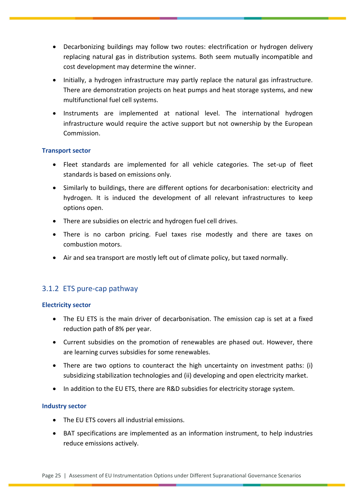- Decarbonizing buildings may follow two routes: electrification or hydrogen delivery replacing natural gas in distribution systems. Both seem mutually incompatible and cost development may determine the winner.
- Initially, a hydrogen infrastructure may partly replace the natural gas infrastructure. There are demonstration projects on heat pumps and heat storage systems, and new multifunctional fuel cell systems.
- Instruments are implemented at national level. The international hydrogen infrastructure would require the active support but not ownership by the European Commission.

## **Transport sector**

- Fleet standards are implemented for all vehicle categories. The set-up of fleet standards is based on emissions only.
- Similarly to buildings, there are different options for decarbonisation: electricity and hydrogen. It is induced the development of all relevant infrastructures to keep options open.
- There are subsidies on electric and hydrogen fuel cell drives.
- There is no carbon pricing. Fuel taxes rise modestly and there are taxes on combustion motors.
- Air and sea transport are mostly left out of climate policy, but taxed normally.

# <span id="page-25-0"></span>3.1.2 ETS pure-cap pathway

## **Electricity sector**

- The EU ETS is the main driver of decarbonisation. The emission cap is set at a fixed reduction path of 8% per year.
- Current subsidies on the promotion of renewables are phased out. However, there are learning curves subsidies for some renewables.
- There are two options to counteract the high uncertainty on investment paths: (i) subsidizing stabilization technologies and (ii) developing and open electricity market.
- In addition to the EU ETS, there are R&D subsidies for electricity storage system.

## **Industry sector**

- The EU ETS covers all industrial emissions.
- BAT specifications are implemented as an information instrument, to help industries reduce emissions actively.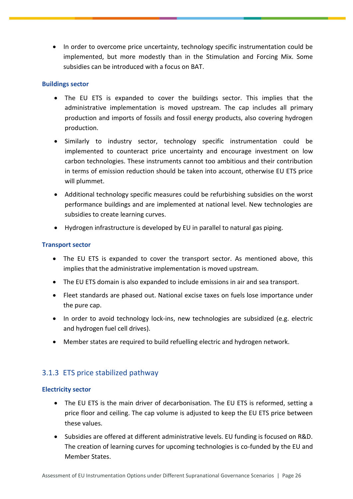• In order to overcome price uncertainty, technology specific instrumentation could be implemented, but more modestly than in the Stimulation and Forcing Mix. Some subsidies can be introduced with a focus on BAT.

## **Buildings sector**

- The EU ETS is expanded to cover the buildings sector. This implies that the administrative implementation is moved upstream. The cap includes all primary production and imports of fossils and fossil energy products, also covering hydrogen production.
- Similarly to industry sector, technology specific instrumentation could be implemented to counteract price uncertainty and encourage investment on low carbon technologies. These instruments cannot too ambitious and their contribution in terms of emission reduction should be taken into account, otherwise EU ETS price will plummet.
- Additional technology specific measures could be refurbishing subsidies on the worst performance buildings and are implemented at national level. New technologies are subsidies to create learning curves.
- Hydrogen infrastructure is developed by EU in parallel to natural gas piping.

## **Transport sector**

- The EU ETS is expanded to cover the transport sector. As mentioned above, this implies that the administrative implementation is moved upstream.
- The EU ETS domain is also expanded to include emissions in air and sea transport.
- Fleet standards are phased out. National excise taxes on fuels lose importance under the pure cap.
- In order to avoid technology lock-ins, new technologies are subsidized (e.g. electric and hydrogen fuel cell drives).
- Member states are required to build refuelling electric and hydrogen network.

# <span id="page-26-0"></span>3.1.3 ETS price stabilized pathway

## **Electricity sector**

- The EU ETS is the main driver of decarbonisation. The EU ETS is reformed, setting a price floor and ceiling. The cap volume is adjusted to keep the EU ETS price between these values.
- Subsidies are offered at different administrative levels. EU funding is focused on R&D. The creation of learning curves for upcoming technologies is co-funded by the EU and Member States.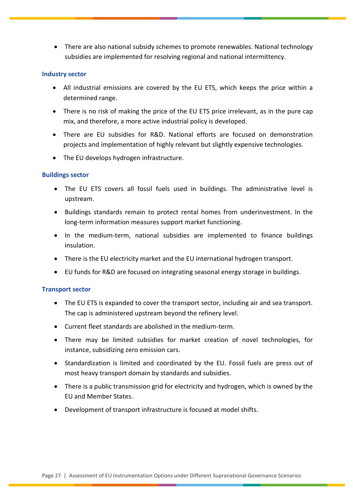There are also national subsidy schemes to promote renewables. National technology subsidies are implemented for resolving regional and national intermittency.

## **Industry sector**

- All industrial emissions are covered by the EU ETS, which keeps the price within a determined range.
- There is no risk of making the price of the EU ETS price irrelevant, as in the pure cap mix, and therefore, a more active industrial policy is developed.
- There are EU subsidies for R&D. National efforts are focused on demonstration projects and implementation of highly relevant but slightly expensive technologies.
- The EU develops hydrogen infrastructure.

## **Buildings sector**

- The EU ETS covers all fossil fuels used in buildings. The administrative level is upstream.
- Buildings standards remain to protect rental homes from underinvestment. In the long-term information measures support market functioning.
- In the medium-term, national subsidies are implemented to finance buildings insulation.
- There is the EU electricity market and the EU international hydrogen transport.
- EU funds for R&D are focused on integrating seasonal energy storage in buildings.

## **Transport sector**

- The EU ETS is expanded to cover the transport sector, including air and sea transport. The cap is administered upstream beyond the refinery level.
- Current fleet standards are abolished in the medium-term.
- There may be limited subsidies for market creation of novel technologies, for instance, subsidizing zero emission cars.
- Standardization is limited and coordinated by the EU. Fossil fuels are press out of most heavy transport domain by standards and subsidies.
- There is a public transmission grid for electricity and hydrogen, which is owned by the EU and Member States.
- Development of transport infrastructure is focused at model shifts.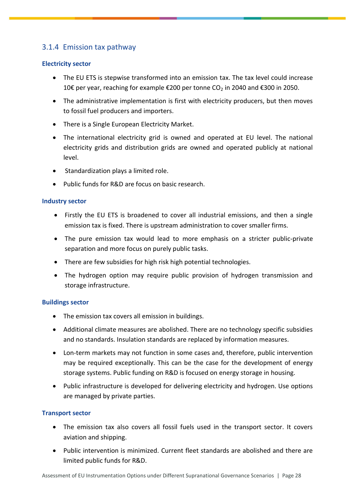# <span id="page-28-0"></span>3.1.4 Emission tax pathway

## **Electricity sector**

- The EU ETS is stepwise transformed into an emission tax. The tax level could increase 10€ per year, reaching for example €200 per tonne CO<sub>2</sub> in 2040 and €300 in 2050.
- The administrative implementation is first with electricity producers, but then moves to fossil fuel producers and importers.
- There is a Single European Electricity Market.
- The international electricity grid is owned and operated at EU level. The national electricity grids and distribution grids are owned and operated publicly at national level.
- Standardization plays a limited role.
- Public funds for R&D are focus on basic research.

## **Industry sector**

- Firstly the EU ETS is broadened to cover all industrial emissions, and then a single emission tax is fixed. There is upstream administration to cover smaller firms.
- The pure emission tax would lead to more emphasis on a stricter public-private separation and more focus on purely public tasks.
- There are few subsidies for high risk high potential technologies.
- The hydrogen option may require public provision of hydrogen transmission and storage infrastructure.

## **Buildings sector**

- The emission tax covers all emission in buildings.
- Additional climate measures are abolished. There are no technology specific subsidies and no standards. Insulation standards are replaced by information measures.
- Lon-term markets may not function in some cases and, therefore, public intervention may be required exceptionally. This can be the case for the development of energy storage systems. Public funding on R&D is focused on energy storage in housing.
- Public infrastructure is developed for delivering electricity and hydrogen. Use options are managed by private parties.

## **Transport sector**

- The emission tax also covers all fossil fuels used in the transport sector. It covers aviation and shipping.
- Public intervention is minimized. Current fleet standards are abolished and there are limited public funds for R&D.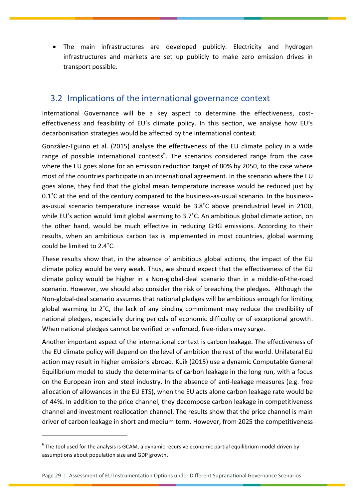The main infrastructures are developed publicly. Electricity and hydrogen infrastructures and markets are set up publicly to make zero emission drives in transport possible.

# <span id="page-29-0"></span>3.2 Implications of the international governance context

International Governance will be a key aspect to determine the effectiveness, costeffectiveness and feasibility of EU's climate policy. In this section, we analyse how EU's decarbonisation strategies would be affected by the international context.

González-Eguino et al. (2015) analyse the effectiveness of the EU climate policy in a wide range of possible international contexts<sup>6</sup>. The scenarios considered range from the case where the EU goes alone for an emission reduction target of 80% by 2050, to the case where most of the countries participate in an international agreement. In the scenario where the EU goes alone, they find that the global mean temperature increase would be reduced just by 0.1˚C at the end of the century compared to the business-as-usual scenario. In the businessas-usual scenario temperature increase would be 3.8˚C above preindustrial level in 2100, while EU's action would limit global warming to 3.7°C. An ambitious global climate action, on the other hand, would be much effective in reducing GHG emissions. According to their results, when an ambitious carbon tax is implemented in most countries, global warming could be limited to 2.4˚C.

These results show that, in the absence of ambitious global actions, the impact of the EU climate policy would be very weak. Thus, we should expect that the effectiveness of the EU climate policy would be higher in a Non-global-deal scenario than in a middle-of-the-road scenario. However, we should also consider the risk of breaching the pledges. Although the Non-global-deal scenario assumes that national pledges will be ambitious enough for limiting global warming to 2˚C, the lack of any binding commitment may reduce the credibility of national pledges, especially during periods of economic difficulty or of exceptional growth. When national pledges cannot be verified or enforced, free-riders may surge.

Another important aspect of the international context is carbon leakage. The effectiveness of the EU climate policy will depend on the level of ambition the rest of the world. Unilateral EU action may result in higher emissions abroad. Kuik (2015) use a dynamic Computable General Equilibrium model to study the determinants of carbon leakage in the long run, with a focus on the European iron and steel industry. In the absence of anti-leakage measures (e.g. free allocation of allowances in the EU ETS), when the EU acts alone carbon leakage rate would be of 44%. In addition to the price channel, they decompose carbon leakage in competitiveness channel and investment reallocation channel. The results show that the price channel is main driver of carbon leakage in short and medium term. However, from 2025 the competitiveness

 $\overline{a}$ 

 $^6$  The tool used for the analysis is GCAM, a dynamic recursive economic partial equilibrium model driven by assumptions about population size and GDP growth.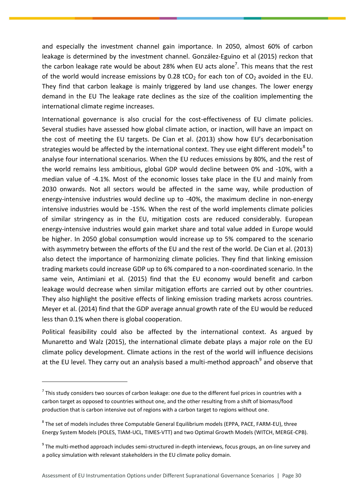and especially the investment channel gain importance. In 2050, almost 60% of carbon leakage is determined by the investment channel. González-Eguino et al (2015) reckon that the carbon leakage rate would be about 28% when EU acts alone<sup>7</sup>. This means that the rest of the world would increase emissions by 0.28 tCO<sub>2</sub> for each ton of CO<sub>2</sub> avoided in the EU. They find that carbon leakage is mainly triggered by land use changes. The lower energy demand in the EU The leakage rate declines as the size of the coalition implementing the international climate regime increases.

International governance is also crucial for the cost-effectiveness of EU climate policies. Several studies have assessed how global climate action, or inaction, will have an impact on the cost of meeting the EU targets. De Cian et al. (2013) show how EU's decarbonisation strategies would be affected by the international context. They use eight different models<sup>8</sup> to analyse four international scenarios. When the EU reduces emissions by 80%, and the rest of the world remains less ambitious, global GDP would decline between 0% and -10%, with a median value of -4.1%. Most of the economic losses take place in the EU and mainly from 2030 onwards. Not all sectors would be affected in the same way, while production of energy-intensive industries would decline up to -40%, the maximum decline in non-energy intensive industries would be -15%. When the rest of the world implements climate policies of similar stringency as in the EU, mitigation costs are reduced considerably. European energy-intensive industries would gain market share and total value added in Europe would be higher. In 2050 global consumption would increase up to 5% compared to the scenario with asymmetry between the efforts of the EU and the rest of the world. De Cian et al. (2013) also detect the importance of harmonizing climate policies. They find that linking emission trading markets could increase GDP up to 6% compared to a non-coordinated scenario. In the same vein, Antimiani et al. (2015) find that the EU economy would benefit and carbon leakage would decrease when similar mitigation efforts are carried out by other countries. They also highlight the positive effects of linking emission trading markets across countries. Meyer et al. (2014) find that the GDP average annual growth rate of the EU would be reduced less than 0.1% when there is global cooperation.

Political feasibility could also be affected by the international context. As argued by Munaretto and Walz (2015), the international climate debate plays a major role on the EU climate policy development. Climate actions in the rest of the world will influence decisions at the EU level. They carry out an analysis based a multi-method approach<sup>9</sup> and observe that

 $\overline{a}$ 

 $^7$  This study considers two sources of carbon leakage: one due to the different fuel prices in countries with a carbon target as opposed to countries without one, and the other resulting from a shift of biomass/food production that is carbon intensive out of regions with a carbon target to regions without one.

 $^8$  The set of models includes three Computable General Equilibrium models (EPPA, PACE, FARM-EU), three Energy System Models (POLES, TIAM-UCL, TIMES-VTT) and two Optimal Growth Models (WITCH, MERGE-CPB).

 $^9$  The multi-method approach includes semi-structured in-depth interviews, focus groups, an on-line survey and a policy simulation with relevant stakeholders in the EU climate policy domain.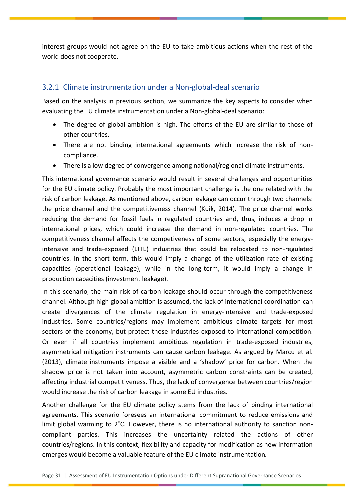interest groups would not agree on the EU to take ambitious actions when the rest of the world does not cooperate.

# <span id="page-31-0"></span>3.2.1 Climate instrumentation under a Non-global-deal scenario

Based on the analysis in previous section, we summarize the key aspects to consider when evaluating the EU climate instrumentation under a Non-global-deal scenario:

- The degree of global ambition is high. The efforts of the EU are similar to those of other countries.
- There are not binding international agreements which increase the risk of noncompliance.
- There is a low degree of convergence among national/regional climate instruments.

This international governance scenario would result in several challenges and opportunities for the EU climate policy. Probably the most important challenge is the one related with the risk of carbon leakage. As mentioned above, carbon leakage can occur through two channels: the price channel and the competitiveness channel (Kuik, 2014). The price channel works reducing the demand for fossil fuels in regulated countries and, thus, induces a drop in international prices, which could increase the demand in non-regulated countries. The competitiveness channel affects the competiveness of some sectors, especially the energyintensive and trade-exposed (EITE) industries that could be relocated to non-regulated countries. In the short term, this would imply a change of the utilization rate of existing capacities (operational leakage), while in the long-term, it would imply a change in production capacities (investment leakage).

In this scenario, the main risk of carbon leakage should occur through the competitiveness channel. Although high global ambition is assumed, the lack of international coordination can create divergences of the climate regulation in energy-intensive and trade-exposed industries. Some countries/regions may implement ambitious climate targets for most sectors of the economy, but protect those industries exposed to international competition. Or even if all countries implement ambitious regulation in trade-exposed industries, asymmetrical mitigation instruments can cause carbon leakage. As argued by Marcu et al. (2013), climate instruments impose a visible and a 'shadow' price for carbon. When the shadow price is not taken into account, asymmetric carbon constraints can be created, affecting industrial competitiveness. Thus, the lack of convergence between countries/region would increase the risk of carbon leakage in some EU industries.

Another challenge for the EU climate policy stems from the lack of binding international agreements. This scenario foresees an international commitment to reduce emissions and limit global warming to 2˚C. However, there is no international authority to sanction noncompliant parties. This increases the uncertainty related the actions of other countries/regions. In this context, flexibility and capacity for modification as new information emerges would become a valuable feature of the EU climate instrumentation.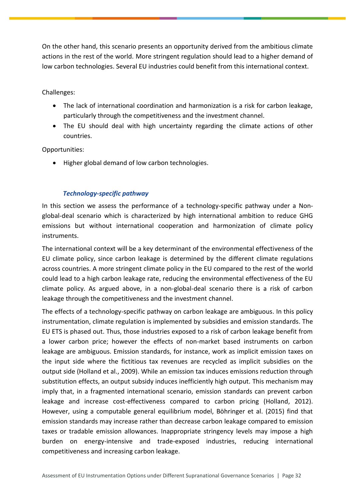On the other hand, this scenario presents an opportunity derived from the ambitious climate actions in the rest of the world. More stringent regulation should lead to a higher demand of low carbon technologies. Several EU industries could benefit from this international context.

## Challenges:

- The lack of international coordination and harmonization is a risk for carbon leakage, particularly through the competitiveness and the investment channel.
- The EU should deal with high uncertainty regarding the climate actions of other countries.

Opportunities:

Higher global demand of low carbon technologies.

## *Technology-specific pathway*

In this section we assess the performance of a technology-specific pathway under a Nonglobal-deal scenario which is characterized by high international ambition to reduce GHG emissions but without international cooperation and harmonization of climate policy instruments.

The international context will be a key determinant of the environmental effectiveness of the EU climate policy, since carbon leakage is determined by the different climate regulations across countries. A more stringent climate policy in the EU compared to the rest of the world could lead to a high carbon leakage rate, reducing the environmental effectiveness of the EU climate policy. As argued above, in a non-global-deal scenario there is a risk of carbon leakage through the competitiveness and the investment channel.

The effects of a technology-specific pathway on carbon leakage are ambiguous. In this policy instrumentation, climate regulation is implemented by subsidies and emission standards. The EU ETS is phased out. Thus, those industries exposed to a risk of carbon leakage benefit from a lower carbon price; however the effects of non-market based instruments on carbon leakage are ambiguous. Emission standards, for instance, work as implicit emission taxes on the input side where the fictitious tax revenues are recycled as implicit subsidies on the output side (Holland et al., 2009). While an emission tax induces emissions reduction through substitution effects, an output subsidy induces inefficiently high output. This mechanism may imply that, in a fragmented international scenario, emission standards can prevent carbon leakage and increase cost-effectiveness compared to carbon pricing (Holland, 2012). However, using a computable general equilibrium model, Böhringer et al. (2015) find that emission standards may increase rather than decrease carbon leakage compared to emission taxes or tradable emission allowances. Inappropriate stringency levels may impose a high burden on energy-intensive and trade-exposed industries, reducing international competitiveness and increasing carbon leakage.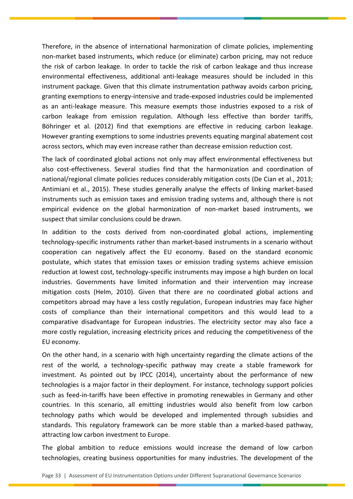Therefore, in the absence of international harmonization of climate policies, implementing non-market based instruments, which reduce (or eliminate) carbon pricing, may not reduce the risk of carbon leakage. In order to tackle the risk of carbon leakage and thus increase environmental effectiveness, additional anti-leakage measures should be included in this instrument package. Given that this climate instrumentation pathway avoids carbon pricing, granting exemptions to energy-intensive and trade-exposed industries could be implemented as an anti-leakage measure. This measure exempts those industries exposed to a risk of carbon leakage from emission regulation. Although less effective than border tariffs, Böhringer et al. (2012) find that exemptions are effective in reducing carbon leakage. However granting exemptions to some industries prevents equating marginal abatement cost across sectors, which may even increase rather than decrease emission reduction cost.

The lack of coordinated global actions not only may affect environmental effectiveness but also cost-effectiveness. Several studies find that the harmonization and coordination of national/regional climate policies reduces considerably mitigation costs (De Cian et al., 2013; Antimiani et al., 2015). These studies generally analyse the effects of linking market-based instruments such as emission taxes and emission trading systems and, although there is not empirical evidence on the global harmonization of non-market based instruments, we suspect that similar conclusions could be drawn.

In addition to the costs derived from non-coordinated global actions, implementing technology-specific instruments rather than market-based instruments in a scenario without cooperation can negatively affect the EU economy. Based on the standard economic postulate, which states that emission taxes or emission trading systems achieve emission reduction at lowest cost, technology-specific instruments may impose a high burden on local industries. Governments have limited information and their intervention may increase mitigation costs (Helm, 2010). Given that there are no coordinated global actions and competitors abroad may have a less costly regulation, European industries may face higher costs of compliance than their international competitors and this would lead to a comparative disadvantage for European industries. The electricity sector may also face a more costly regulation, increasing electricity prices and reducing the competitiveness of the EU economy.

On the other hand, in a scenario with high uncertainty regarding the climate actions of the rest of the world, a technology-specific pathway may create a stable framework for investment. As pointed out by IPCC (2014), uncertainty about the performance of new technologies is a major factor in their deployment. For instance, technology support policies such as feed-in-tariffs have been effective in promoting renewables in Germany and other countries. In this scenario, all emitting industries would also benefit from low carbon technology paths which would be developed and implemented through subsidies and standards. This regulatory framework can be more stable than a marked-based pathway, attracting low carbon investment to Europe.

The global ambition to reduce emissions would increase the demand of low carbon technologies, creating business opportunities for many industries. The development of the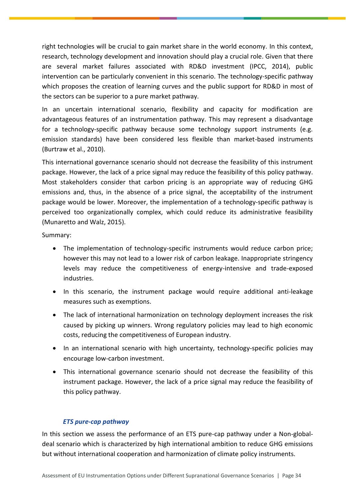right technologies will be crucial to gain market share in the world economy. In this context, research, technology development and innovation should play a crucial role. Given that there are several market failures associated with RD&D investment (IPCC, 2014), public intervention can be particularly convenient in this scenario. The technology-specific pathway which proposes the creation of learning curves and the public support for RD&D in most of the sectors can be superior to a pure market pathway.

In an uncertain international scenario, flexibility and capacity for modification are advantageous features of an instrumentation pathway. This may represent a disadvantage for a technology-specific pathway because some technology support instruments (e.g. emission standards) have been considered less flexible than market-based instruments (Burtraw et al., 2010).

This international governance scenario should not decrease the feasibility of this instrument package. However, the lack of a price signal may reduce the feasibility of this policy pathway. Most stakeholders consider that carbon pricing is an appropriate way of reducing GHG emissions and, thus, in the absence of a price signal, the acceptability of the instrument package would be lower. Moreover, the implementation of a technology-specific pathway is perceived too organizationally complex, which could reduce its administrative feasibility (Munaretto and Walz, 2015).

Summary:

- The implementation of technology-specific instruments would reduce carbon price; however this may not lead to a lower risk of carbon leakage. Inappropriate stringency levels may reduce the competitiveness of energy-intensive and trade-exposed industries.
- In this scenario, the instrument package would require additional anti-leakage measures such as exemptions.
- The lack of international harmonization on technology deployment increases the risk caused by picking up winners. Wrong regulatory policies may lead to high economic costs, reducing the competitiveness of European industry.
- In an international scenario with high uncertainty, technology-specific policies may encourage low-carbon investment.
- This international governance scenario should not decrease the feasibility of this instrument package. However, the lack of a price signal may reduce the feasibility of this policy pathway.

## *ETS pure-cap pathway*

In this section we assess the performance of an ETS pure-cap pathway under a Non-globaldeal scenario which is characterized by high international ambition to reduce GHG emissions but without international cooperation and harmonization of climate policy instruments.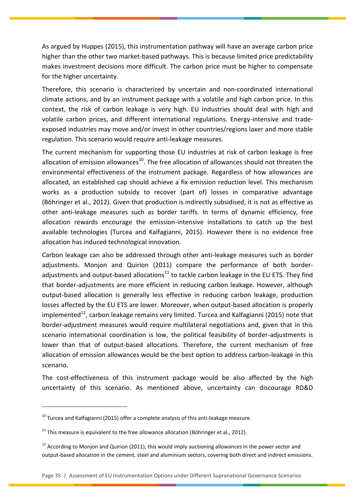As argued by Huppes (2015), this instrumentation pathway will have an average carbon price higher than the other two market-based pathways. This is because limited price predictability makes investment decisions more difficult. The carbon price must be higher to compensate for the higher uncertainty.

Therefore, this scenario is characterized by uncertain and non-coordinated international climate actions, and by an instrument package with a volatile and high carbon price. In this context, the risk of carbon leakage is very high. EU industries should deal with high and volatile carbon prices, and different international regulations. Energy-intensive and tradeexposed industries may move and/or invest in other countries/regions laxer and more stable regulation. This scenario would require anti-leakage measures.

The current mechanism for supporting those EU industries at risk of carbon leakage is free allocation of emission allowances<sup>10</sup>. The free allocation of allowances should not threaten the environmental effectiveness of the instrument package. Regardless of how allowances are allocated, an established cap should achieve a fix emission reduction level. This mechanism works as a production subsidy to recover (part of) losses in comparative advantage (Böhringer et al., 2012). Given that production is indirectly subsidised, it is not as effective as other anti-leakage measures such as border tariffs. In terms of dynamic efficiency, free allocation rewards encourage the emission-intensive installations to catch up the best available technologies (Turcea and Kalfagianni, 2015). However there is no evidence free allocation has induced technological innovation.

Carbon leakage can also be addressed through other anti-leakage measures such as border adjustments. Monjon and Quirion (2011) compare the performance of both borderadjustments and output-based allocations<sup>11</sup> to tackle carbon leakage in the EU ETS. They find that border-adjustments are more efficient in reducing carbon leakage. However, although output-based allocation is generally less effective in reducing carbon leakage, production losses affected by the EU ETS are lower. Moreover, when output-based allocation is properly implemented<sup>12</sup>, carbon leakage remains very limited. Turcea and Kalfagianni (2015) note that border-adjustment measures would require multilateral negotiations and, given that in this scenario international coordination is low, the political feasibility of border-adjustments is lower than that of output-based allocations. Therefore, the current mechanism of free allocation of emission allowances would be the best option to address carbon-leakage in this scenario.

The cost-effectiveness of this instrument package would be also affected by the high uncertainty of this scenario. As mentioned above, uncertainty can discourage RD&D

 $\overline{a}$ 

 $10$  Turcea and Kalfagianni (2015) offer a complete analysis of this anti-leakage measure.

 $11$  This measure is equivalent to the free allowance allocation (Böhringer et al., 2012).

 $12$  According to Monjon and Quirion (2011), this would imply auctioning allowances in the power sector and output‐based allocation in the cement, steel and aluminium sectors, covering both direct and indirect emissions.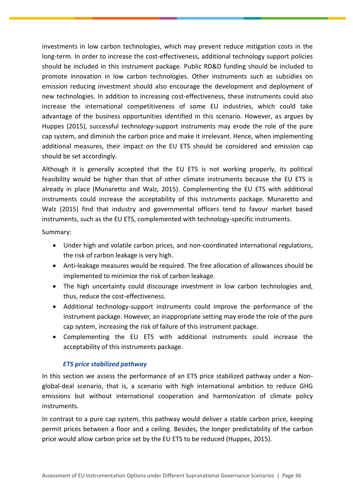investments in low carbon technologies, which may prevent reduce mitigation costs in the long-term. In order to increase the cost-effectiveness, additional technology support policies should be included in this instrument package. Public RD&D funding should be included to promote innovation in low carbon technologies. Other instruments such as subsidies on emission reducing investment should also encourage the development and deployment of new technologies. In addition to increasing cost-effectiveness, these instruments could also increase the international competitiveness of some EU industries, which could take advantage of the business opportunities identified in this scenario. However, as argues by Huppes (2015), successful technology-support instruments may erode the role of the pure cap system, and diminish the carbon price and make it irrelevant. Hence, when implementing additional measures, their impact on the EU ETS should be considered and emission cap should be set accordingly.

Although it is generally accepted that the EU ETS is not working properly, its political feasibility would be higher than that of other climate instruments because the EU ETS is already in place (Munaretto and Walz, 2015). Complementing the EU ETS with additional instruments could increase the acceptability of this instruments package. Munaretto and Walz (2015) find that industry and governmental officers tend to favour market based instruments, such as the EU ETS, complemented with technology-specific instruments.

Summary:

- Under high and volatile carbon prices, and non-coordinated international regulations, the risk of carbon leakage is very high.
- Anti-leakage measures would be required. The free allocation of allowances should be implemented to minimize the risk of carbon leakage.
- The high uncertainty could discourage investment in low carbon technologies and, thus, reduce the cost-effectiveness.
- Additional technology-support instruments could improve the performance of the instrument package. However, an inappropriate setting may erode the role of the pure cap system, increasing the risk of failure of this instrument package.
- Complementing the EU ETS with additional instruments could increase the acceptability of this instruments package.

## *ETS price stabilized pathway*

In this section we assess the performance of an ETS price stabilized pathway under a Nonglobal-deal scenario, that is, a scenario with high international ambition to reduce GHG emissions but without international cooperation and harmonization of climate policy instruments.

In contrast to a pure cap system, this pathway would deliver a stable carbon price, keeping permit prices between a floor and a ceiling. Besides, the longer predictability of the carbon price would allow carbon price set by the EU ETS to be reduced (Huppes, 2015).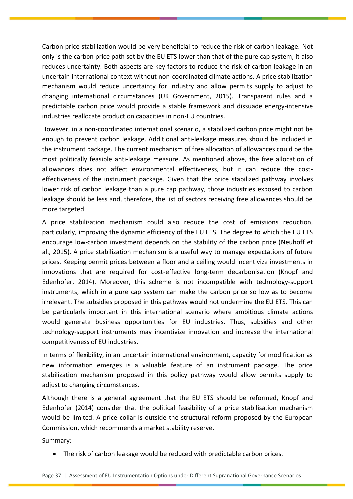Carbon price stabilization would be very beneficial to reduce the risk of carbon leakage. Not only is the carbon price path set by the EU ETS lower than that of the pure cap system, it also reduces uncertainty. Both aspects are key factors to reduce the risk of carbon leakage in an uncertain international context without non-coordinated climate actions. A price stabilization mechanism would reduce uncertainty for industry and allow permits supply to adjust to changing international circumstances (UK Government, 2015). Transparent rules and a predictable carbon price would provide a stable framework and dissuade energy-intensive industries reallocate production capacities in non-EU countries.

However, in a non-coordinated international scenario, a stabilized carbon price might not be enough to prevent carbon leakage. Additional anti-leakage measures should be included in the instrument package. The current mechanism of free allocation of allowances could be the most politically feasible anti-leakage measure. As mentioned above, the free allocation of allowances does not affect environmental effectiveness, but it can reduce the costeffectiveness of the instrument package. Given that the price stabilized pathway involves lower risk of carbon leakage than a pure cap pathway, those industries exposed to carbon leakage should be less and, therefore, the list of sectors receiving free allowances should be more targeted.

A price stabilization mechanism could also reduce the cost of emissions reduction, particularly, improving the dynamic efficiency of the EU ETS. The degree to which the EU ETS encourage low-carbon investment depends on the stability of the carbon price (Neuhoff et al., 2015). A price stabilization mechanism is a useful way to manage expectations of future prices. Keeping permit prices between a floor and a ceiling would incentivize investments in innovations that are required for cost-effective long-term decarbonisation (Knopf and Edenhofer, 2014). Moreover, this scheme is not incompatible with technology-support instruments, which in a pure cap system can make the carbon price so low as to become irrelevant. The subsidies proposed in this pathway would not undermine the EU ETS. This can be particularly important in this international scenario where ambitious climate actions would generate business opportunities for EU industries. Thus, subsidies and other technology-support instruments may incentivize innovation and increase the international competitiveness of EU industries.

In terms of flexibility, in an uncertain international environment, capacity for modification as new information emerges is a valuable feature of an instrument package. The price stabilization mechanism proposed in this policy pathway would allow permits supply to adjust to changing circumstances.

Although there is a general agreement that the EU ETS should be reformed, Knopf and Edenhofer (2014) consider that the political feasibility of a price stabilisation mechanism would be limited. A price collar is outside the structural reform proposed by the European Commission, which recommends a market stability reserve.

Summary:

The risk of carbon leakage would be reduced with predictable carbon prices.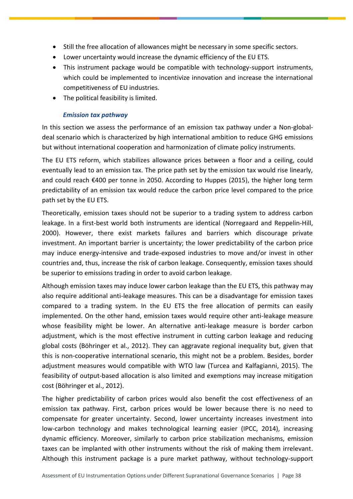- Still the free allocation of allowances might be necessary in some specific sectors.
- Lower uncertainty would increase the dynamic efficiency of the EU ETS.
- This instrument package would be compatible with technology-support instruments, which could be implemented to incentivize innovation and increase the international competitiveness of EU industries.
- The political feasibility is limited.

## *Emission tax pathway*

In this section we assess the performance of an emission tax pathway under a Non-globaldeal scenario which is characterized by high international ambition to reduce GHG emissions but without international cooperation and harmonization of climate policy instruments.

The EU ETS reform, which stabilizes allowance prices between a floor and a ceiling, could eventually lead to an emission tax. The price path set by the emission tax would rise linearly, and could reach €400 per tonne in 2050. According to Huppes (2015), the higher long term predictability of an emission tax would reduce the carbon price level compared to the price path set by the EU ETS.

Theoretically, emission taxes should not be superior to a trading system to address carbon leakage. In a first-best world both instruments are identical (Norregaard and Reppelin-Hill, 2000). However, there exist markets failures and barriers which discourage private investment. An important barrier is uncertainty; the lower predictability of the carbon price may induce energy-intensive and trade-exposed industries to move and/or invest in other countries and, thus, increase the risk of carbon leakage. Consequently, emission taxes should be superior to emissions trading in order to avoid carbon leakage.

Although emission taxes may induce lower carbon leakage than the EU ETS, this pathway may also require additional anti-leakage measures. This can be a disadvantage for emission taxes compared to a trading system. In the EU ETS the free allocation of permits can easily implemented. On the other hand, emission taxes would require other anti-leakage measure whose feasibility might be lower. An alternative anti-leakage measure is border carbon adjustment, which is the most effective instrument in cutting carbon leakage and reducing global costs (Böhringer et al., 2012). They can aggravate regional inequality but, given that this is non-cooperative international scenario, this might not be a problem. Besides, border adjustment measures would compatible with WTO law (Turcea and Kalfagianni, 2015). The feasibility of output-based allocation is also limited and exemptions may increase mitigation cost (Böhringer et al., 2012).

The higher predictability of carbon prices would also benefit the cost effectiveness of an emission tax pathway. First, carbon prices would be lower because there is no need to compensate for greater uncertainty. Second, lower uncertainty increases investment into low-carbon technology and makes technological learning easier (IPCC, 2014), increasing dynamic efficiency. Moreover, similarly to carbon price stabilization mechanisms, emission taxes can be implanted with other instruments without the risk of making them irrelevant. Although this instrument package is a pure market pathway, without technology-support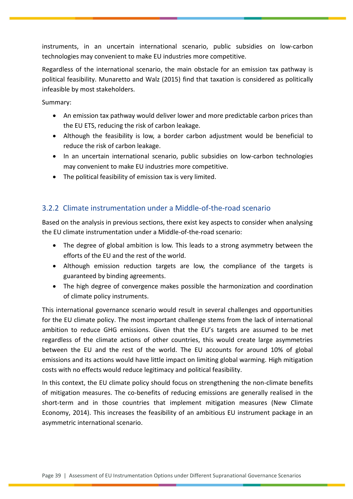instruments, in an uncertain international scenario, public subsidies on low-carbon technologies may convenient to make EU industries more competitive.

Regardless of the international scenario, the main obstacle for an emission tax pathway is political feasibility. Munaretto and Walz (2015) find that taxation is considered as politically infeasible by most stakeholders.

Summary:

- An emission tax pathway would deliver lower and more predictable carbon prices than the EU ETS, reducing the risk of carbon leakage.
- Although the feasibility is low, a border carbon adjustment would be beneficial to reduce the risk of carbon leakage.
- In an uncertain international scenario, public subsidies on low-carbon technologies may convenient to make EU industries more competitive.
- The political feasibility of emission tax is very limited.

# <span id="page-39-0"></span>3.2.2 Climate instrumentation under a Middle-of-the-road scenario

Based on the analysis in previous sections, there exist key aspects to consider when analysing the EU climate instrumentation under a Middle-of-the-road scenario:

- The degree of global ambition is low. This leads to a strong asymmetry between the efforts of the EU and the rest of the world.
- Although emission reduction targets are low, the compliance of the targets is guaranteed by binding agreements.
- The high degree of convergence makes possible the harmonization and coordination of climate policy instruments.

This international governance scenario would result in several challenges and opportunities for the EU climate policy. The most important challenge stems from the lack of international ambition to reduce GHG emissions. Given that the EU's targets are assumed to be met regardless of the climate actions of other countries, this would create large asymmetries between the EU and the rest of the world. The EU accounts for around 10% of global emissions and its actions would have little impact on limiting global warming. High mitigation costs with no effects would reduce legitimacy and political feasibility.

In this context, the EU climate policy should focus on strengthening the non-climate benefits of mitigation measures. The co-benefits of reducing emissions are generally realised in the short-term and in those countries that implement mitigation measures (New Climate Economy, 2014). This increases the feasibility of an ambitious EU instrument package in an asymmetric international scenario.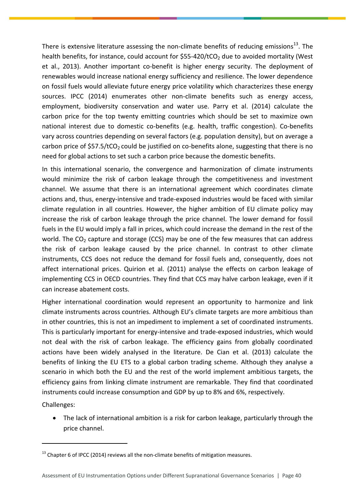There is extensive literature assessing the non-climate benefits of reducing emissions<sup>13</sup>. The health benefits, for instance, could account for  $$55-420/tCO$ , due to avoided mortality (West et al., 2013). Another important co-benefit is higher energy security. The deployment of renewables would increase national energy sufficiency and resilience. The lower dependence on fossil fuels would alleviate future energy price volatility which characterizes these energy sources. IPCC (2014) enumerates other non-climate benefits such as energy access, employment, biodiversity conservation and water use. Parry et al. (2014) calculate the carbon price for the top twenty emitting countries which should be set to maximize own national interest due to domestic co-benefits (e.g. health, traffic congestion). Co-benefits vary across countries depending on several factors (e.g. population density), but on average a carbon price of  $$57.5/tCO<sub>2</sub>$  could be justified on co-benefits alone, suggesting that there is no need for global actions to set such a carbon price because the domestic benefits.

In this international scenario, the convergence and harmonization of climate instruments would minimize the risk of carbon leakage through the competitiveness and investment channel. We assume that there is an international agreement which coordinates climate actions and, thus, energy-intensive and trade-exposed industries would be faced with similar climate regulation in all countries. However, the higher ambition of EU climate policy may increase the risk of carbon leakage through the price channel. The lower demand for fossil fuels in the EU would imply a fall in prices, which could increase the demand in the rest of the world. The  $CO<sub>2</sub>$  capture and storage (CCS) may be one of the few measures that can address the risk of carbon leakage caused by the price channel. In contrast to other climate instruments, CCS does not reduce the demand for fossil fuels and, consequently, does not affect international prices. Quirion et al. (2011) analyse the effects on carbon leakage of implementing CCS in OECD countries. They find that CCS may halve carbon leakage, even if it can increase abatement costs.

Higher international coordination would represent an opportunity to harmonize and link climate instruments across countries. Although EU's climate targets are more ambitious than in other countries, this is not an impediment to implement a set of coordinated instruments. This is particularly important for energy-intensive and trade-exposed industries, which would not deal with the risk of carbon leakage. The efficiency gains from globally coordinated actions have been widely analysed in the literature. De Cian et al. (2013) calculate the benefits of linking the EU ETS to a global carbon trading scheme. Although they analyse a scenario in which both the EU and the rest of the world implement ambitious targets, the efficiency gains from linking climate instrument are remarkable. They find that coordinated instruments could increase consumption and GDP by up to 8% and 6%, respectively.

Challenges:

 $\overline{a}$ 

 The lack of international ambition is a risk for carbon leakage, particularly through the price channel.

 $13$  Chapter 6 of IPCC (2014) reviews all the non-climate benefits of mitigation measures.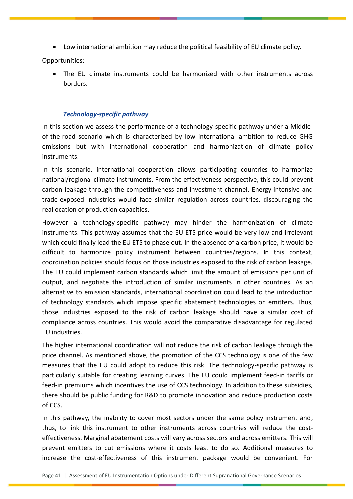Low international ambition may reduce the political feasibility of EU climate policy.

Opportunities:

 The EU climate instruments could be harmonized with other instruments across borders.

## *Technology-specific pathway*

In this section we assess the performance of a technology-specific pathway under a Middleof-the-road scenario which is characterized by low international ambition to reduce GHG emissions but with international cooperation and harmonization of climate policy instruments.

In this scenario, international cooperation allows participating countries to harmonize national/regional climate instruments. From the effectiveness perspective, this could prevent carbon leakage through the competitiveness and investment channel. Energy-intensive and trade-exposed industries would face similar regulation across countries, discouraging the reallocation of production capacities.

However a technology-specific pathway may hinder the harmonization of climate instruments. This pathway assumes that the EU ETS price would be very low and irrelevant which could finally lead the EU ETS to phase out. In the absence of a carbon price, it would be difficult to harmonize policy instrument between countries/regions. In this context, coordination policies should focus on those industries exposed to the risk of carbon leakage. The EU could implement carbon standards which limit the amount of emissions per unit of output, and negotiate the introduction of similar instruments in other countries. As an alternative to emission standards, international coordination could lead to the introduction of technology standards which impose specific abatement technologies on emitters. Thus, those industries exposed to the risk of carbon leakage should have a similar cost of compliance across countries. This would avoid the comparative disadvantage for regulated EU industries.

The higher international coordination will not reduce the risk of carbon leakage through the price channel. As mentioned above, the promotion of the CCS technology is one of the few measures that the EU could adopt to reduce this risk. The technology-specific pathway is particularly suitable for creating learning curves. The EU could implement feed-in tariffs or feed-in premiums which incentives the use of CCS technology. In addition to these subsidies, there should be public funding for R&D to promote innovation and reduce production costs of CCS.

In this pathway, the inability to cover most sectors under the same policy instrument and, thus, to link this instrument to other instruments across countries will reduce the costeffectiveness. Marginal abatement costs will vary across sectors and across emitters. This will prevent emitters to cut emissions where it costs least to do so. Additional measures to increase the cost-effectiveness of this instrument package would be convenient. For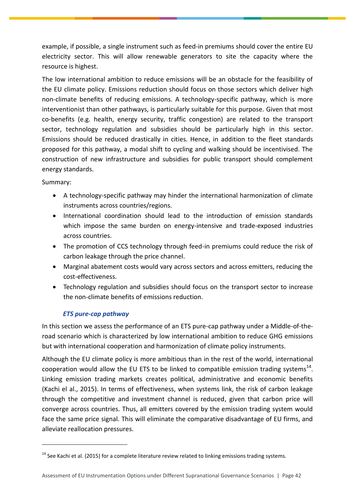example, if possible, a single instrument such as feed-in premiums should cover the entire EU electricity sector. This will allow renewable generators to site the capacity where the resource is highest.

The low international ambition to reduce emissions will be an obstacle for the feasibility of the EU climate policy. Emissions reduction should focus on those sectors which deliver high non-climate benefits of reducing emissions. A technology-specific pathway, which is more interventionist than other pathways, is particularly suitable for this purpose. Given that most co-benefits (e.g. health, energy security, traffic congestion) are related to the transport sector, technology regulation and subsidies should be particularly high in this sector. Emissions should be reduced drastically in cities. Hence, in addition to the fleet standards proposed for this pathway, a modal shift to cycling and walking should be incentivised. The construction of new infrastructure and subsidies for public transport should complement energy standards.

Summary:

 $\overline{a}$ 

- A technology-specific pathway may hinder the international harmonization of climate instruments across countries/regions.
- International coordination should lead to the introduction of emission standards which impose the same burden on energy-intensive and trade-exposed industries across countries.
- The promotion of CCS technology through feed-in premiums could reduce the risk of carbon leakage through the price channel.
- Marginal abatement costs would vary across sectors and across emitters, reducing the cost-effectiveness.
- Technology regulation and subsidies should focus on the transport sector to increase the non-climate benefits of emissions reduction.

## *ETS pure-cap pathway*

In this section we assess the performance of an ETS pure-cap pathway under a Middle-of-theroad scenario which is characterized by low international ambition to reduce GHG emissions but with international cooperation and harmonization of climate policy instruments.

Although the EU climate policy is more ambitious than in the rest of the world, international cooperation would allow the EU ETS to be linked to compatible emission trading systems<sup>14</sup>. Linking emission trading markets creates political, administrative and economic benefits (Kachi el al., 2015). In terms of effectiveness, when systems link, the risk of carbon leakage through the competitive and investment channel is reduced, given that carbon price will converge across countries. Thus, all emitters covered by the emission trading system would face the same price signal. This will eliminate the comparative disadvantage of EU firms, and alleviate reallocation pressures.

 $14$  See Kachi et al. (2015) for a complete literature review related to linking emissions trading systems.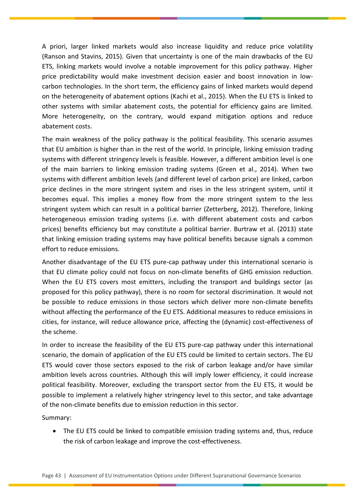A priori, larger linked markets would also increase liquidity and reduce price volatility (Ranson and Stavins, 2015). Given that uncertainty is one of the main drawbacks of the EU ETS, linking markets would involve a notable improvement for this policy pathway. Higher price predictability would make investment decision easier and boost innovation in lowcarbon technologies. In the short term, the efficiency gains of linked markets would depend on the heterogeneity of abatement options (Kachi et al., 2015). When the EU ETS is linked to other systems with similar abatement costs, the potential for efficiency gains are limited. More heterogeneity, on the contrary, would expand mitigation options and reduce abatement costs.

The main weakness of the policy pathway is the political feasibility. This scenario assumes that EU ambition is higher than in the rest of the world. In principle, linking emission trading systems with different stringency levels is feasible. However, a different ambition level is one of the main barriers to linking emission trading systems (Green et al., 2014). When two systems with different ambition levels (and different level of carbon price) are linked, carbon price declines in the more stringent system and rises in the less stringent system, until it becomes equal. This implies a money flow from the more stringent system to the less stringent system which can result in a political barrier (Zetterberg, 2012). Therefore, linking heterogeneous emission trading systems (i.e. with different abatement costs and carbon prices) benefits efficiency but may constitute a political barrier. Burtraw et al. (2013) state that linking emission trading systems may have political benefits because signals a common effort to reduce emissions.

Another disadvantage of the EU ETS pure-cap pathway under this international scenario is that EU climate policy could not focus on non-climate benefits of GHG emission reduction. When the EU ETS covers most emitters, including the transport and buildings sector (as proposed for this policy pathway), there is no room for sectoral discrimination. It would not be possible to reduce emissions in those sectors which deliver more non-climate benefits without affecting the performance of the EU ETS. Additional measures to reduce emissions in cities, for instance, will reduce allowance price, affecting the (dynamic) cost-effectiveness of the scheme.

In order to increase the feasibility of the EU ETS pure-cap pathway under this international scenario, the domain of application of the EU ETS could be limited to certain sectors. The EU ETS would cover those sectors exposed to the risk of carbon leakage and/or have similar ambition levels across countries. Although this will imply lower efficiency, it could increase political feasibility. Moreover, excluding the transport sector from the EU ETS, it would be possible to implement a relatively higher stringency level to this sector, and take advantage of the non-climate benefits due to emission reduction in this sector.

Summary:

• The EU ETS could be linked to compatible emission trading systems and, thus, reduce the risk of carbon leakage and improve the cost-effectiveness.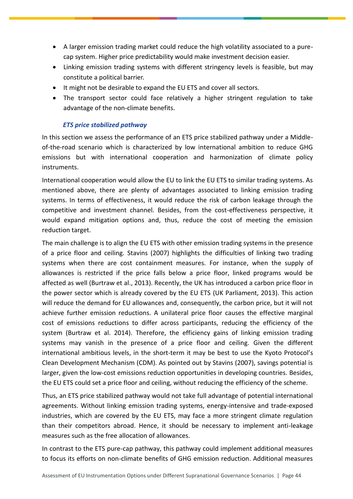- A larger emission trading market could reduce the high volatility associated to a purecap system. Higher price predictability would make investment decision easier.
- Linking emission trading systems with different stringency levels is feasible, but may constitute a political barrier.
- It might not be desirable to expand the EU ETS and cover all sectors.
- The transport sector could face relatively a higher stringent regulation to take advantage of the non-climate benefits.

## *ETS price stabilized pathway*

In this section we assess the performance of an ETS price stabilized pathway under a Middleof-the-road scenario which is characterized by low international ambition to reduce GHG emissions but with international cooperation and harmonization of climate policy instruments.

International cooperation would allow the EU to link the EU ETS to similar trading systems. As mentioned above, there are plenty of advantages associated to linking emission trading systems. In terms of effectiveness, it would reduce the risk of carbon leakage through the competitive and investment channel. Besides, from the cost-effectiveness perspective, it would expand mitigation options and, thus, reduce the cost of meeting the emission reduction target.

The main challenge is to align the EU ETS with other emission trading systems in the presence of a price floor and ceiling. Stavins (2007) highlights the difficulties of linking two trading systems when there are cost containment measures. For instance, when the supply of allowances is restricted if the price falls below a price floor, linked programs would be affected as well (Burtraw et al., 2013). Recently, the UK has introduced a carbon price floor in the power sector which is already covered by the EU ETS (UK Parliament, 2013). This action will reduce the demand for EU allowances and, consequently, the carbon price, but it will not achieve further emission reductions. A unilateral price floor causes the effective marginal cost of emissions reductions to differ across participants, reducing the efficiency of the system (Burtraw et al. 2014). Therefore, the efficiency gains of linking emission trading systems may vanish in the presence of a price floor and ceiling. Given the different international ambitious levels, in the short-term it may be best to use the Kyoto Protocol's Clean Development Mechanism (CDM). As pointed out by Stavins (2007), savings potential is larger, given the low-cost emissions reduction opportunities in developing countries. Besides, the EU ETS could set a price floor and ceiling, without reducing the efficiency of the scheme.

Thus, an ETS price stabilized pathway would not take full advantage of potential international agreements. Without linking emission trading systems, energy-intensive and trade-exposed industries, which are covered by the EU ETS, may face a more stringent climate regulation than their competitors abroad. Hence, it should be necessary to implement anti-leakage measures such as the free allocation of allowances.

In contrast to the ETS pure-cap pathway, this pathway could implement additional measures to focus its efforts on non-climate benefits of GHG emission reduction. Additional measures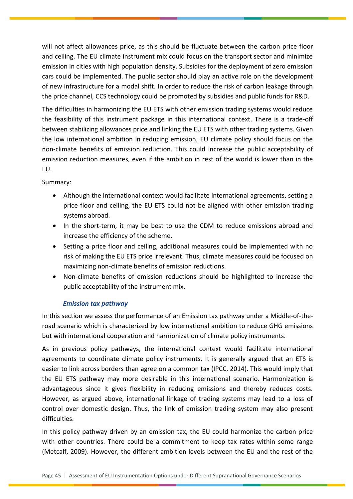will not affect allowances price, as this should be fluctuate between the carbon price floor and ceiling. The EU climate instrument mix could focus on the transport sector and minimize emission in cities with high population density. Subsidies for the deployment of zero emission cars could be implemented. The public sector should play an active role on the development of new infrastructure for a modal shift. In order to reduce the risk of carbon leakage through the price channel, CCS technology could be promoted by subsidies and public funds for R&D.

The difficulties in harmonizing the EU ETS with other emission trading systems would reduce the feasibility of this instrument package in this international context. There is a trade-off between stabilizing allowances price and linking the EU ETS with other trading systems. Given the low international ambition in reducing emission, EU climate policy should focus on the non-climate benefits of emission reduction. This could increase the public acceptability of emission reduction measures, even if the ambition in rest of the world is lower than in the EU.

## Summary:

- Although the international context would facilitate international agreements, setting a price floor and ceiling, the EU ETS could not be aligned with other emission trading systems abroad.
- In the short-term, it may be best to use the CDM to reduce emissions abroad and increase the efficiency of the scheme.
- Setting a price floor and ceiling, additional measures could be implemented with no risk of making the EU ETS price irrelevant. Thus, climate measures could be focused on maximizing non-climate benefits of emission reductions.
- Non-climate benefits of emission reductions should be highlighted to increase the public acceptability of the instrument mix.

## *Emission tax pathway*

In this section we assess the performance of an Emission tax pathway under a Middle-of-theroad scenario which is characterized by low international ambition to reduce GHG emissions but with international cooperation and harmonization of climate policy instruments.

As in previous policy pathways, the international context would facilitate international agreements to coordinate climate policy instruments. It is generally argued that an ETS is easier to link across borders than agree on a common tax (IPCC, 2014). This would imply that the EU ETS pathway may more desirable in this international scenario. Harmonization is advantageous since it gives flexibility in reducing emissions and thereby reduces costs. However, as argued above, international linkage of trading systems may lead to a loss of control over domestic design. Thus, the link of emission trading system may also present difficulties.

In this policy pathway driven by an emission tax, the EU could harmonize the carbon price with other countries. There could be a commitment to keep tax rates within some range (Metcalf, 2009). However, the different ambition levels between the EU and the rest of the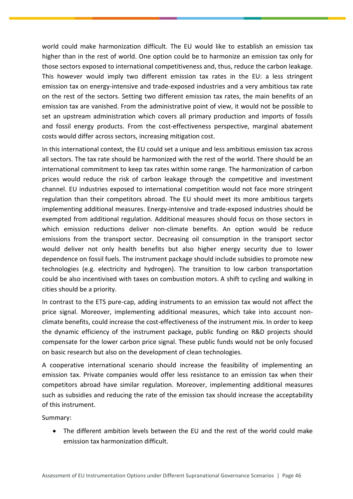world could make harmonization difficult. The EU would like to establish an emission tax higher than in the rest of world. One option could be to harmonize an emission tax only for those sectors exposed to international competitiveness and, thus, reduce the carbon leakage. This however would imply two different emission tax rates in the EU: a less stringent emission tax on energy-intensive and trade-exposed industries and a very ambitious tax rate on the rest of the sectors. Setting two different emission tax rates, the main benefits of an emission tax are vanished. From the administrative point of view, it would not be possible to set an upstream administration which covers all primary production and imports of fossils and fossil energy products. From the cost-effectiveness perspective, marginal abatement costs would differ across sectors, increasing mitigation cost.

In this international context, the EU could set a unique and less ambitious emission tax across all sectors. The tax rate should be harmonized with the rest of the world. There should be an international commitment to keep tax rates within some range. The harmonization of carbon prices would reduce the risk of carbon leakage through the competitive and investment channel. EU industries exposed to international competition would not face more stringent regulation than their competitors abroad. The EU should meet its more ambitious targets implementing additional measures. Energy-intensive and trade-exposed industries should be exempted from additional regulation. Additional measures should focus on those sectors in which emission reductions deliver non-climate benefits. An option would be reduce emissions from the transport sector. Decreasing oil consumption in the transport sector would deliver not only health benefits but also higher energy security due to lower dependence on fossil fuels. The instrument package should include subsidies to promote new technologies (e.g. electricity and hydrogen). The transition to low carbon transportation could be also incentivised with taxes on combustion motors. A shift to cycling and walking in cities should be a priority.

In contrast to the ETS pure-cap, adding instruments to an emission tax would not affect the price signal. Moreover, implementing additional measures, which take into account nonclimate benefits, could increase the cost-effectiveness of the instrument mix. In order to keep the dynamic efficiency of the instrument package, public funding on R&D projects should compensate for the lower carbon price signal. These public funds would not be only focused on basic research but also on the development of clean technologies.

A cooperative international scenario should increase the feasibility of implementing an emission tax. Private companies would offer less resistance to an emission tax when their competitors abroad have similar regulation. Moreover, implementing additional measures such as subsidies and reducing the rate of the emission tax should increase the acceptability of this instrument.

Summary:

 The different ambition levels between the EU and the rest of the world could make emission tax harmonization difficult.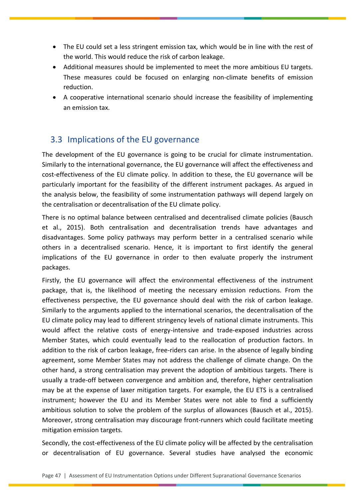- The EU could set a less stringent emission tax, which would be in line with the rest of the world. This would reduce the risk of carbon leakage.
- Additional measures should be implemented to meet the more ambitious EU targets. These measures could be focused on enlarging non-climate benefits of emission reduction.
- A cooperative international scenario should increase the feasibility of implementing an emission tax.

# <span id="page-47-0"></span>3.3 Implications of the EU governance

The development of the EU governance is going to be crucial for climate instrumentation. Similarly to the international governance, the EU governance will affect the effectiveness and cost-effectiveness of the EU climate policy. In addition to these, the EU governance will be particularly important for the feasibility of the different instrument packages. As argued in the analysis below, the feasibility of some instrumentation pathways will depend largely on the centralisation or decentralisation of the EU climate policy.

There is no optimal balance between centralised and decentralised climate policies (Bausch et al., 2015). Both centralisation and decentralisation trends have advantages and disadvantages. Some policy pathways may perform better in a centralised scenario while others in a decentralised scenario. Hence, it is important to first identify the general implications of the EU governance in order to then evaluate properly the instrument packages.

Firstly, the EU governance will affect the environmental effectiveness of the instrument package, that is, the likelihood of meeting the necessary emission reductions. From the effectiveness perspective, the EU governance should deal with the risk of carbon leakage. Similarly to the arguments applied to the international scenarios, the decentralisation of the EU climate policy may lead to different stringency levels of national climate instruments. This would affect the relative costs of energy-intensive and trade-exposed industries across Member States, which could eventually lead to the reallocation of production factors. In addition to the risk of carbon leakage, free-riders can arise. In the absence of legally binding agreement, some Member States may not address the challenge of climate change. On the other hand, a strong centralisation may prevent the adoption of ambitious targets. There is usually a trade-off between convergence and ambition and, therefore, higher centralisation may be at the expense of laxer mitigation targets. For example, the EU ETS is a centralised instrument; however the EU and its Member States were not able to find a sufficiently ambitious solution to solve the problem of the surplus of allowances (Bausch et al., 2015). Moreover, strong centralisation may discourage front-runners which could facilitate meeting mitigation emission targets.

Secondly, the cost-effectiveness of the EU climate policy will be affected by the centralisation or decentralisation of EU governance. Several studies have analysed the economic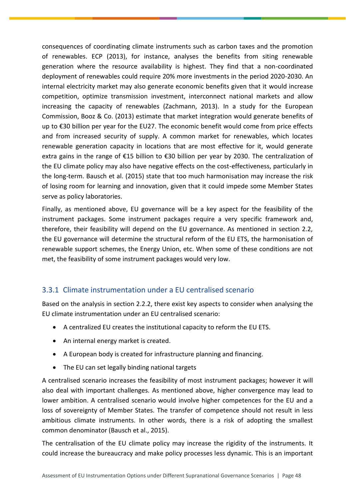consequences of coordinating climate instruments such as carbon taxes and the promotion of renewables. ECP (2013), for instance, analyses the benefits from siting renewable generation where the resource availability is highest. They find that a non-coordinated deployment of renewables could require 20% more investments in the period 2020-2030. An internal electricity market may also generate economic benefits given that it would increase competition, optimize transmission investment, interconnect national markets and allow increasing the capacity of renewables (Zachmann, 2013). In a study for the European Commission, Booz & Co. (2013) estimate that market integration would generate benefits of up to €30 billion per year for the EU27. The economic benefit would come from price effects and from increased security of supply. A common market for renewables, which locates renewable generation capacity in locations that are most effective for it, would generate extra gains in the range of €15 billion to €30 billion per year by 2030. The centralization of the EU climate policy may also have negative effects on the cost-effectiveness, particularly in the long-term. Bausch et al. (2015) state that too much harmonisation may increase the risk of losing room for learning and innovation, given that it could impede some Member States serve as policy laboratories.

Finally, as mentioned above, EU governance will be a key aspect for the feasibility of the instrument packages. Some instrument packages require a very specific framework and, therefore, their feasibility will depend on the EU governance. As mentioned in section 2.2, the EU governance will determine the structural reform of the EU ETS, the harmonisation of renewable support schemes, the Energy Union, etc. When some of these conditions are not met, the feasibility of some instrument packages would very low.

# <span id="page-48-0"></span>3.3.1 Climate instrumentation under a EU centralised scenario

Based on the analysis in section 2.2.2, there exist key aspects to consider when analysing the EU climate instrumentation under an EU centralised scenario:

- A centralized EU creates the institutional capacity to reform the EU ETS.
- An internal energy market is created.
- A European body is created for infrastructure planning and financing.
- The EU can set legally binding national targets

A centralised scenario increases the feasibility of most instrument packages; however it will also deal with important challenges. As mentioned above, higher convergence may lead to lower ambition. A centralised scenario would involve higher competences for the EU and a loss of sovereignty of Member States. The transfer of competence should not result in less ambitious climate instruments. In other words, there is a risk of adopting the smallest common denominator (Bausch et al., 2015).

The centralisation of the EU climate policy may increase the rigidity of the instruments. It could increase the bureaucracy and make policy processes less dynamic. This is an important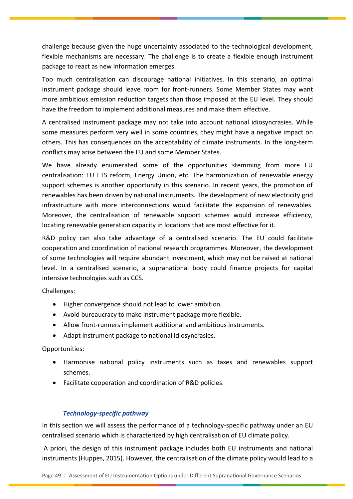challenge because given the huge uncertainty associated to the technological development, flexible mechanisms are necessary. The challenge is to create a flexible enough instrument package to react as new information emerges.

Too much centralisation can discourage national initiatives. In this scenario, an optimal instrument package should leave room for front-runners. Some Member States may want more ambitious emission reduction targets than those imposed at the EU level. They should have the freedom to implement additional measures and make them effective.

A centralised instrument package may not take into account national idiosyncrasies. While some measures perform very well in some countries, they might have a negative impact on others. This has consequences on the acceptability of climate instruments. In the long-term conflicts may arise between the EU and some Member States.

We have already enumerated some of the opportunities stemming from more EU centralisation: EU ETS reform, Energy Union, etc. The harmonization of renewable energy support schemes is another opportunity in this scenario. In recent years, the promotion of renewables has been driven by national instruments. The development of new electricity grid infrastructure with more interconnections would facilitate the expansion of renewables. Moreover, the centralisation of renewable support schemes would increase efficiency, locating renewable generation capacity in locations that are most effective for it.

R&D policy can also take advantage of a centralised scenario. The EU could facilitate cooperation and coordination of national research programmes. Moreover, the development of some technologies will require abundant investment, which may not be raised at national level. In a centralised scenario, a supranational body could finance projects for capital intensive technologies such as CCS.

Challenges:

- Higher convergence should not lead to lower ambition.
- Avoid bureaucracy to make instrument package more flexible.
- Allow front-runners implement additional and ambitious instruments.
- Adapt instrument package to national idiosyncrasies.

Opportunities:

- Harmonise national policy instruments such as taxes and renewables support schemes.
- Facilitate cooperation and coordination of R&D policies.

## *Technology-specific pathway*

In this section we will assess the performance of a technology-specific pathway under an EU centralised scenario which is characterized by high centralisation of EU climate policy.

A priori, the design of this instrument package includes both EU instruments and national instruments (Huppes, 2015). However, the centralisation of the climate policy would lead to a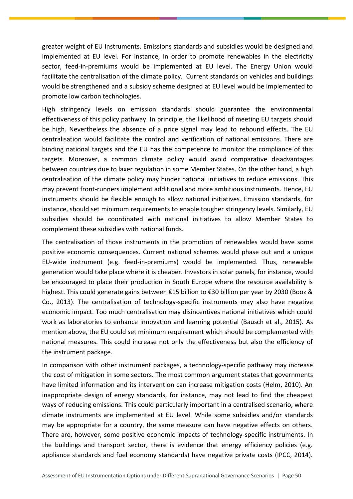greater weight of EU instruments. Emissions standards and subsidies would be designed and implemented at EU level. For instance, in order to promote renewables in the electricity sector, feed-in-premiums would be implemented at EU level. The Energy Union would facilitate the centralisation of the climate policy. Current standards on vehicles and buildings would be strengthened and a subsidy scheme designed at EU level would be implemented to promote low carbon technologies.

High stringency levels on emission standards should guarantee the environmental effectiveness of this policy pathway. In principle, the likelihood of meeting EU targets should be high. Nevertheless the absence of a price signal may lead to rebound effects. The EU centralisation would facilitate the control and verification of national emissions. There are binding national targets and the EU has the competence to monitor the compliance of this targets. Moreover, a common climate policy would avoid comparative disadvantages between countries due to laxer regulation in some Member States. On the other hand, a high centralisation of the climate policy may hinder national initiatives to reduce emissions. This may prevent front-runners implement additional and more ambitious instruments. Hence, EU instruments should be flexible enough to allow national initiatives. Emission standards, for instance, should set minimum requirements to enable tougher stringency levels. Similarly, EU subsidies should be coordinated with national initiatives to allow Member States to complement these subsidies with national funds.

The centralisation of those instruments in the promotion of renewables would have some positive economic consequences. Current national schemes would phase out and a unique EU-wide instrument (e.g. feed-in-premiums) would be implemented. Thus, renewable generation would take place where it is cheaper. Investors in solar panels, for instance, would be encouraged to place their production in South Europe where the resource availability is highest. This could generate gains between €15 billion to €30 billion per year by 2030 (Booz & Co., 2013). The centralisation of technology-specific instruments may also have negative economic impact. Too much centralisation may disincentives national initiatives which could work as laboratories to enhance innovation and learning potential (Bausch et al., 2015). As mention above, the EU could set minimum requirement which should be complemented with national measures. This could increase not only the effectiveness but also the efficiency of the instrument package.

In comparison with other instrument packages, a technology-specific pathway may increase the cost of mitigation in some sectors. The most common argument states that governments have limited information and its intervention can increase mitigation costs (Helm, 2010). An inappropriate design of energy standards, for instance, may not lead to find the cheapest ways of reducing emissions. This could particularly important in a centralised scenario, where climate instruments are implemented at EU level. While some subsidies and/or standards may be appropriate for a country, the same measure can have negative effects on others. There are, however, some positive economic impacts of technology-specific instruments. In the buildings and transport sector, there is evidence that energy efficiency policies (e.g. appliance standards and fuel economy standards) have negative private costs (IPCC, 2014).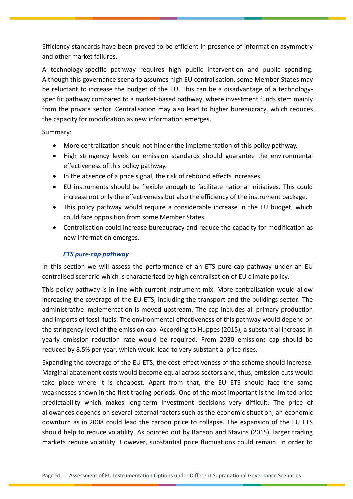Efficiency standards have been proved to be efficient in presence of information asymmetry and other market failures.

A technology-specific pathway requires high public intervention and public spending. Although this governance scenario assumes high EU centralisation, some Member States may be reluctant to increase the budget of the EU. This can be a disadvantage of a technologyspecific pathway compared to a market-based pathway, where investment funds stem mainly from the private sector. Centralisation may also lead to higher bureaucracy, which reduces the capacity for modification as new information emerges.

Summary:

- More centralization should not hinder the implementation of this policy pathway.
- High stringency levels on emission standards should guarantee the environmental effectiveness of this policy pathway.
- In the absence of a price signal, the risk of rebound effects increases.
- EU instruments should be flexible enough to facilitate national initiatives. This could increase not only the effectiveness but also the efficiency of the instrument package.
- This policy pathway would require a considerable increase in the EU budget, which could face opposition from some Member States.
- Centralisation could increase bureaucracy and reduce the capacity for modification as new information emerges.

## *ETS pure-cap pathway*

In this section we will assess the performance of an ETS pure-cap pathway under an EU centralised scenario which is characterized by high centralisation of EU climate policy.

This policy pathway is in line with current instrument mix. More centralisation would allow increasing the coverage of the EU ETS, including the transport and the buildings sector. The administrative implementation is moved upstream. The cap includes all primary production and imports of fossil fuels. The environmental effectiveness of this pathway would depend on the stringency level of the emission cap. According to Huppes (2015), a substantial increase in yearly emission reduction rate would be required. From 2030 emissions cap should be reduced by 8.5% per year, which would lead to very substantial price rises.

Expanding the coverage of the EU ETS, the cost-effectiveness of the scheme should increase. Marginal abatement costs would become equal across sectors and, thus, emission cuts would take place where it is cheapest. Apart from that, the EU ETS should face the same weaknesses shown in the first trading periods. One of the most important is the limited price predictability which makes long-term investment decisions very difficult. The price of allowances depends on several external factors such as the economic situation; an economic downturn as in 2008 could lead the carbon price to collapse. The expansion of the EU ETS should help to reduce volatility. As pointed out by Ranson and Stavins (2015), larger trading markets reduce volatility. However, substantial price fluctuations could remain. In order to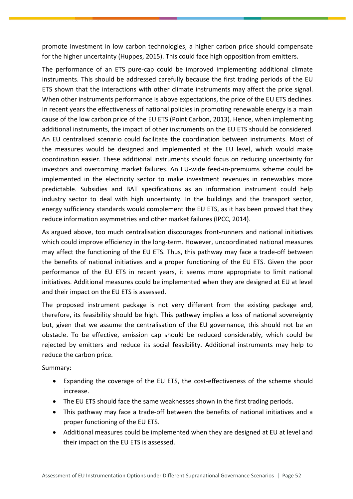promote investment in low carbon technologies, a higher carbon price should compensate for the higher uncertainty (Huppes, 2015). This could face high opposition from emitters.

The performance of an ETS pure-cap could be improved implementing additional climate instruments. This should be addressed carefully because the first trading periods of the EU ETS shown that the interactions with other climate instruments may affect the price signal. When other instruments performance is above expectations, the price of the EU ETS declines. In recent years the effectiveness of national policies in promoting renewable energy is a main cause of the low carbon price of the EU ETS (Point Carbon, 2013). Hence, when implementing additional instruments, the impact of other instruments on the EU ETS should be considered. An EU centralised scenario could facilitate the coordination between instruments. Most of the measures would be designed and implemented at the EU level, which would make coordination easier. These additional instruments should focus on reducing uncertainty for investors and overcoming market failures. An EU-wide feed-in-premiums scheme could be implemented in the electricity sector to make investment revenues in renewables more predictable. Subsidies and BAT specifications as an information instrument could help industry sector to deal with high uncertainty. In the buildings and the transport sector, energy sufficiency standards would complement the EU ETS, as it has been proved that they reduce information asymmetries and other market failures (IPCC, 2014).

As argued above, too much centralisation discourages front-runners and national initiatives which could improve efficiency in the long-term. However, uncoordinated national measures may affect the functioning of the EU ETS. Thus, this pathway may face a trade-off between the benefits of national initiatives and a proper functioning of the EU ETS. Given the poor performance of the EU ETS in recent years, it seems more appropriate to limit national initiatives. Additional measures could be implemented when they are designed at EU at level and their impact on the EU ETS is assessed.

The proposed instrument package is not very different from the existing package and, therefore, its feasibility should be high. This pathway implies a loss of national sovereignty but, given that we assume the centralisation of the EU governance, this should not be an obstacle. To be effective, emission cap should be reduced considerably, which could be rejected by emitters and reduce its social feasibility. Additional instruments may help to reduce the carbon price.

Summary:

- Expanding the coverage of the EU ETS, the cost-effectiveness of the scheme should increase.
- The EU ETS should face the same weaknesses shown in the first trading periods.
- This pathway may face a trade-off between the benefits of national initiatives and a proper functioning of the EU ETS.
- Additional measures could be implemented when they are designed at EU at level and their impact on the EU ETS is assessed.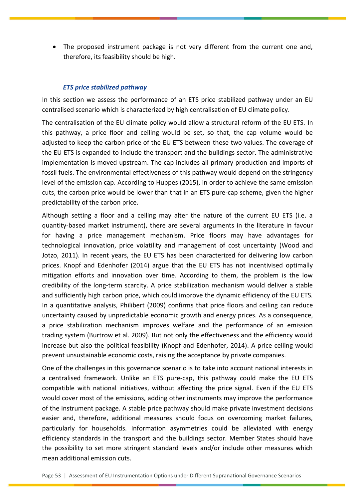The proposed instrument package is not very different from the current one and, therefore, its feasibility should be high.

#### *ETS price stabilized pathway*

In this section we assess the performance of an ETS price stabilized pathway under an EU centralised scenario which is characterized by high centralisation of EU climate policy.

The centralisation of the EU climate policy would allow a structural reform of the EU ETS. In this pathway, a price floor and ceiling would be set, so that, the cap volume would be adjusted to keep the carbon price of the EU ETS between these two values. The coverage of the EU ETS is expanded to include the transport and the buildings sector. The administrative implementation is moved upstream. The cap includes all primary production and imports of fossil fuels. The environmental effectiveness of this pathway would depend on the stringency level of the emission cap. According to Huppes (2015), in order to achieve the same emission cuts, the carbon price would be lower than that in an ETS pure-cap scheme, given the higher predictability of the carbon price.

Although setting a floor and a ceiling may alter the nature of the current EU ETS (i.e. a quantity-based market instrument), there are several arguments in the literature in favour for having a price management mechanism. Price floors may have advantages for technological innovation, price volatility and management of cost uncertainty (Wood and Jotzo, 2011). In recent years, the EU ETS has been characterized for delivering low carbon prices. Knopf and Edenhofer (2014) argue that the EU ETS has not incentivised optimally mitigation efforts and innovation over time. According to them, the problem is the low credibility of the long-term scarcity. A price stabilization mechanism would deliver a stable and sufficiently high carbon price, which could improve the dynamic efficiency of the EU ETS. In a quantitative analysis, Philibert (2009) confirms that price floors and ceiling can reduce uncertainty caused by unpredictable economic growth and energy prices. As a consequence, a price stabilization mechanism improves welfare and the performance of an emission trading system (Burtrow et al. 2009). But not only the effectiveness and the efficiency would increase but also the political feasibility (Knopf and Edenhofer, 2014). A price ceiling would prevent unsustainable economic costs, raising the acceptance by private companies.

One of the challenges in this governance scenario is to take into account national interests in a centralised framework. Unlike an ETS pure-cap, this pathway could make the EU ETS compatible with national initiatives, without affecting the price signal. Even if the EU ETS would cover most of the emissions, adding other instruments may improve the performance of the instrument package. A stable price pathway should make private investment decisions easier and, therefore, additional measures should focus on overcoming market failures, particularly for households. Information asymmetries could be alleviated with energy efficiency standards in the transport and the buildings sector. Member States should have the possibility to set more stringent standard levels and/or include other measures which mean additional emission cuts.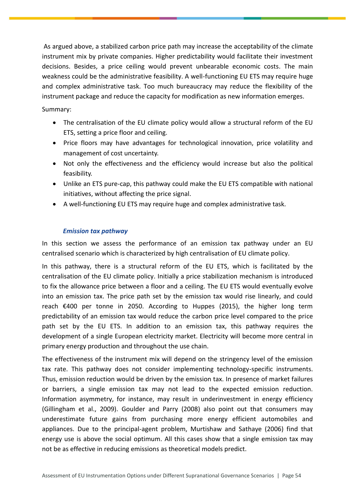As argued above, a stabilized carbon price path may increase the acceptability of the climate instrument mix by private companies. Higher predictability would facilitate their investment decisions. Besides, a price ceiling would prevent unbearable economic costs. The main weakness could be the administrative feasibility. A well-functioning EU ETS may require huge and complex administrative task. Too much bureaucracy may reduce the flexibility of the instrument package and reduce the capacity for modification as new information emerges.

## Summary:

- The centralisation of the EU climate policy would allow a structural reform of the EU ETS, setting a price floor and ceiling.
- Price floors may have advantages for technological innovation, price volatility and management of cost uncertainty.
- Not only the effectiveness and the efficiency would increase but also the political feasibility.
- Unlike an ETS pure-cap, this pathway could make the EU ETS compatible with national initiatives, without affecting the price signal.
- A well-functioning EU ETS may require huge and complex administrative task.

## *Emission tax pathway*

In this section we assess the performance of an emission tax pathway under an EU centralised scenario which is characterized by high centralisation of EU climate policy.

In this pathway, there is a structural reform of the EU ETS, which is facilitated by the centralisation of the EU climate policy. Initially a price stabilization mechanism is introduced to fix the allowance price between a floor and a ceiling. The EU ETS would eventually evolve into an emission tax. The price path set by the emission tax would rise linearly, and could reach €400 per tonne in 2050. According to Huppes (2015), the higher long term predictability of an emission tax would reduce the carbon price level compared to the price path set by the EU ETS. In addition to an emission tax, this pathway requires the development of a single European electricity market. Electricity will become more central in primary energy production and throughout the use chain.

The effectiveness of the instrument mix will depend on the stringency level of the emission tax rate. This pathway does not consider implementing technology-specific instruments. Thus, emission reduction would be driven by the emission tax. In presence of market failures or barriers, a single emission tax may not lead to the expected emission reduction. Information asymmetry, for instance, may result in underinvestment in energy efficiency (Gillingham et al., 2009). Goulder and Parry (2008) also point out that consumers may underestimate future gains from purchasing more energy efficient automobiles and appliances. Due to the principal-agent problem, Murtishaw and Sathaye (2006) find that energy use is above the social optimum. All this cases show that a single emission tax may not be as effective in reducing emissions as theoretical models predict.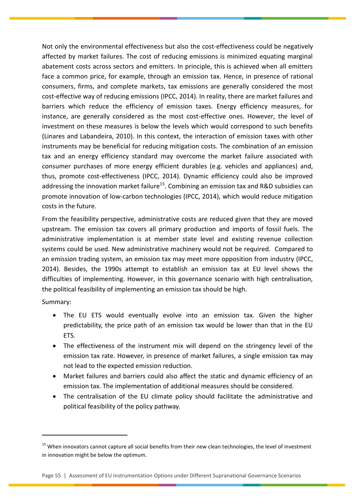Not only the environmental effectiveness but also the cost-effectiveness could be negatively affected by market failures. The cost of reducing emissions is minimized equating marginal abatement costs across sectors and emitters. In principle, this is achieved when all emitters face a common price, for example, through an emission tax. Hence, in presence of rational consumers, firms, and complete markets, tax emissions are generally considered the most cost-effective way of reducing emissions (IPCC, 2014). In reality, there are market failures and barriers which reduce the efficiency of emission taxes. Energy efficiency measures, for instance, are generally considered as the most cost-effective ones. However, the level of investment on these measures is below the levels which would correspond to such benefits (Linares and Labandeira, 2010). In this context, the interaction of emission taxes with other instruments may be beneficial for reducing mitigation costs. The combination of an emission tax and an energy efficiency standard may overcome the market failure associated with consumer purchases of more energy efficient durables (e.g. vehicles and appliances) and, thus, promote cost-effectiveness (IPCC, 2014). Dynamic efficiency could also be improved addressing the innovation market failure<sup>15</sup>. Combining an emission tax and R&D subsidies can promote innovation of low-carbon technologies (IPCC, 2014), which would reduce mitigation costs in the future.

From the feasibility perspective, administrative costs are reduced given that they are moved upstream. The emission tax covers all primary production and imports of fossil fuels. The administrative implementation is at member state level and existing revenue collection systems could be used. New administrative machinery would not be required. Compared to an emission trading system, an emission tax may meet more opposition from industry (IPCC, 2014). Besides, the 1990s attempt to establish an emission tax at EU level shows the difficulties of implementing. However, in this governance scenario with high centralisation, the political feasibility of implementing an emission tax should be high.

Summary:

 $\overline{a}$ 

- The EU ETS would eventually evolve into an emission tax. Given the higher predictability, the price path of an emission tax would be lower than that in the EU ETS.
- The effectiveness of the instrument mix will depend on the stringency level of the emission tax rate. However, in presence of market failures, a single emission tax may not lead to the expected emission reduction.
- Market failures and barriers could also affect the static and dynamic efficiency of an emission tax. The implementation of additional measures should be considered.
- The centralisation of the EU climate policy should facilitate the administrative and political feasibility of the policy pathway.

<sup>&</sup>lt;sup>15</sup> When innovators cannot capture all social benefits from their new clean technologies, the level of investment in innovation might be below the optimum.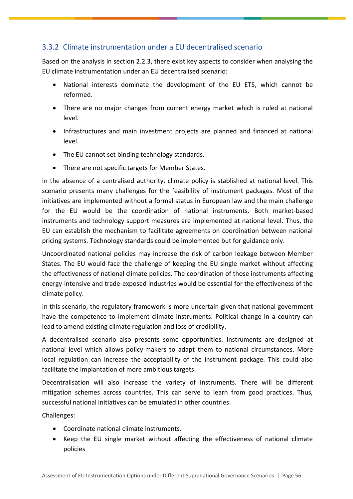# <span id="page-56-0"></span>3.3.2 Climate instrumentation under a EU decentralised scenario

Based on the analysis in section 2.2.3, there exist key aspects to consider when analysing the EU climate instrumentation under an EU decentralised scenario:

- National interests dominate the development of the EU ETS, which cannot be reformed.
- There are no major changes from current energy market which is ruled at national level.
- Infrastructures and main investment projects are planned and financed at national level.
- The EU cannot set binding technology standards.
- There are not specific targets for Member States.

In the absence of a centralised authority, climate policy is stablished at national level. This scenario presents many challenges for the feasibility of instrument packages. Most of the initiatives are implemented without a formal status in European law and the main challenge for the EU would be the coordination of national instruments. Both market-based instruments and technology support measures are implemented at national level. Thus, the EU can establish the mechanism to facilitate agreements on coordination between national pricing systems. Technology standards could be implemented but for guidance only.

Uncoordinated national policies may increase the risk of carbon leakage between Member States. The EU would face the challenge of keeping the EU single market without affecting the effectiveness of national climate policies. The coordination of those instruments affecting energy-intensive and trade-exposed industries would be essential for the effectiveness of the climate policy.

In this scenario, the regulatory framework is more uncertain given that national government have the competence to implement climate instruments. Political change in a country can lead to amend existing climate regulation and loss of credibility.

A decentralised scenario also presents some opportunities. Instruments are designed at national level which allows policy-makers to adapt them to national circumstances. More local regulation can increase the acceptability of the instrument package. This could also facilitate the implantation of more ambitious targets.

Decentralisation will also increase the variety of instruments. There will be different mitigation schemes across countries. This can serve to learn from good practices. Thus, successful national initiatives can be emulated in other countries.

Challenges:

- Coordinate national climate instruments.
- Keep the EU single market without affecting the effectiveness of national climate policies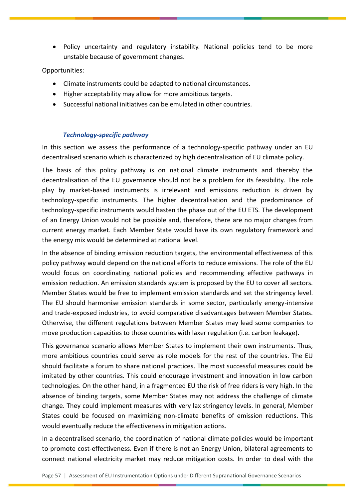Policy uncertainty and regulatory instability. National policies tend to be more unstable because of government changes.

## Opportunities:

- Climate instruments could be adapted to national circumstances.
- Higher acceptability may allow for more ambitious targets.
- Successful national initiatives can be emulated in other countries.

## *Technology-specific pathway*

In this section we assess the performance of a technology-specific pathway under an EU decentralised scenario which is characterized by high decentralisation of EU climate policy.

The basis of this policy pathway is on national climate instruments and thereby the decentralisation of the EU governance should not be a problem for its feasibility. The role play by market-based instruments is irrelevant and emissions reduction is driven by technology-specific instruments. The higher decentralisation and the predominance of technology-specific instruments would hasten the phase out of the EU ETS. The development of an Energy Union would not be possible and, therefore, there are no major changes from current energy market. Each Member State would have its own regulatory framework and the energy mix would be determined at national level.

In the absence of binding emission reduction targets, the environmental effectiveness of this policy pathway would depend on the national efforts to reduce emissions. The role of the EU would focus on coordinating national policies and recommending effective pathways in emission reduction. An emission standards system is proposed by the EU to cover all sectors. Member States would be free to implement emission standards and set the stringency level. The EU should harmonise emission standards in some sector, particularly energy-intensive and trade-exposed industries, to avoid comparative disadvantages between Member States. Otherwise, the different regulations between Member States may lead some companies to move production capacities to those countries with laxer regulation (i.e. carbon leakage).

This governance scenario allows Member States to implement their own instruments. Thus, more ambitious countries could serve as role models for the rest of the countries. The EU should facilitate a forum to share national practices. The most successful measures could be imitated by other countries. This could encourage investment and innovation in low carbon technologies. On the other hand, in a fragmented EU the risk of free riders is very high. In the absence of binding targets, some Member States may not address the challenge of climate change. They could implement measures with very lax stringency levels. In general, Member States could be focused on maximizing non-climate benefits of emission reductions. This would eventually reduce the effectiveness in mitigation actions.

In a decentralised scenario, the coordination of national climate policies would be important to promote cost-effectiveness. Even if there is not an Energy Union, bilateral agreements to connect national electricity market may reduce mitigation costs. In order to deal with the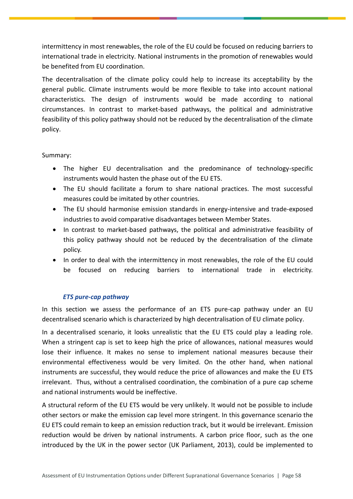intermittency in most renewables, the role of the EU could be focused on reducing barriers to international trade in electricity. National instruments in the promotion of renewables would be benefited from EU coordination.

The decentralisation of the climate policy could help to increase its acceptability by the general public. Climate instruments would be more flexible to take into account national characteristics. The design of instruments would be made according to national circumstances. In contrast to market-based pathways, the political and administrative feasibility of this policy pathway should not be reduced by the decentralisation of the climate policy.

## Summary:

- The higher EU decentralisation and the predominance of technology-specific instruments would hasten the phase out of the EU ETS.
- The EU should facilitate a forum to share national practices. The most successful measures could be imitated by other countries.
- The EU should harmonise emission standards in energy-intensive and trade-exposed industries to avoid comparative disadvantages between Member States.
- In contrast to market-based pathways, the political and administrative feasibility of this policy pathway should not be reduced by the decentralisation of the climate policy.
- In order to deal with the intermittency in most renewables, the role of the EU could be focused on reducing barriers to international trade in electricity.

## *ETS pure-cap pathway*

In this section we assess the performance of an ETS pure-cap pathway under an EU decentralised scenario which is characterized by high decentralisation of EU climate policy.

In a decentralised scenario, it looks unrealistic that the EU ETS could play a leading role. When a stringent cap is set to keep high the price of allowances, national measures would lose their influence. It makes no sense to implement national measures because their environmental effectiveness would be very limited. On the other hand, when national instruments are successful, they would reduce the price of allowances and make the EU ETS irrelevant. Thus, without a centralised coordination, the combination of a pure cap scheme and national instruments would be ineffective.

A structural reform of the EU ETS would be very unlikely. It would not be possible to include other sectors or make the emission cap level more stringent. In this governance scenario the EU ETS could remain to keep an emission reduction track, but it would be irrelevant. Emission reduction would be driven by national instruments. A carbon price floor, such as the one introduced by the UK in the power sector (UK Parliament, 2013), could be implemented to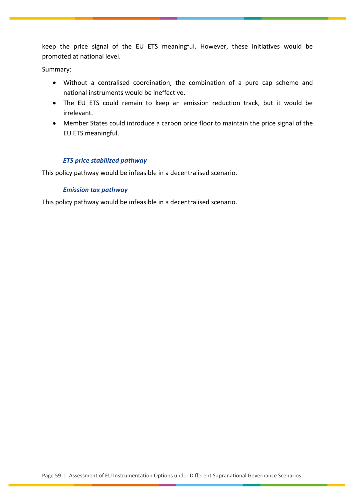keep the price signal of the EU ETS meaningful. However, these initiatives would be promoted at national level.

Summary:

- Without a centralised coordination, the combination of a pure cap scheme and national instruments would be ineffective.
- The EU ETS could remain to keep an emission reduction track, but it would be irrelevant.
- Member States could introduce a carbon price floor to maintain the price signal of the EU ETS meaningful.

## *ETS price stabilized pathway*

This policy pathway would be infeasible in a decentralised scenario.

## *Emission tax pathway*

This policy pathway would be infeasible in a decentralised scenario.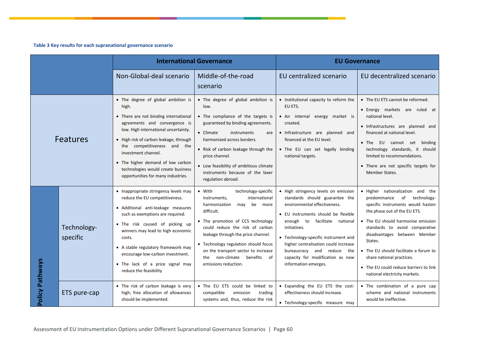#### **Table 3 Key results for each supranational governance scenario**

|                        |                         | <b>International Governance</b>                                                                                                                                                                                                                                                                                                                                                |                                                                                                                                                                                                                                                                                                                                                                                 | <b>EU Governance</b>                                                                                                                                                                                                                                                                                                                                                           |                                                                                                                                                                                                                                                                                                                                                                                                             |
|------------------------|-------------------------|--------------------------------------------------------------------------------------------------------------------------------------------------------------------------------------------------------------------------------------------------------------------------------------------------------------------------------------------------------------------------------|---------------------------------------------------------------------------------------------------------------------------------------------------------------------------------------------------------------------------------------------------------------------------------------------------------------------------------------------------------------------------------|--------------------------------------------------------------------------------------------------------------------------------------------------------------------------------------------------------------------------------------------------------------------------------------------------------------------------------------------------------------------------------|-------------------------------------------------------------------------------------------------------------------------------------------------------------------------------------------------------------------------------------------------------------------------------------------------------------------------------------------------------------------------------------------------------------|
|                        |                         | Non-Global-deal scenario                                                                                                                                                                                                                                                                                                                                                       | Middle-of-the-road<br>scenario                                                                                                                                                                                                                                                                                                                                                  | EU centralized scenario                                                                                                                                                                                                                                                                                                                                                        | EU decentralized scenario                                                                                                                                                                                                                                                                                                                                                                                   |
| <b>Features</b>        |                         | • The degree of global ambition is<br>high.<br>• There are not binding international<br>agreements and convergence is<br>low. High international uncertainty.<br>• High risk of carbon leakage, through<br>the competitiveness and the<br>investment channel.<br>• The higher demand of low carbon<br>technologies would create business<br>opportunities for many industries. | • The degree of global ambition is<br>low.<br>• The compliance of the targets is<br>guaranteed by binding agreements.<br>• Climate<br>instruments<br>are<br>harmonized across borders.<br>• Risk of carbon leakage through the<br>price channel.<br>• Low feasibility of ambitious climate<br>instruments because of the laxer<br>regulation abroad.                            | • Institutional capacity to reform the<br>EU ETS.<br>• An internal energy market is<br>created.<br>· Infrastructure are planned and<br>financed at the EU level.<br>• The EU can set legally binding<br>national targets.                                                                                                                                                      | • The EU ETS cannot be reformed.<br>• Energy markets are ruled at<br>national level.<br>· Infrastructures are planned and<br>financed at national level.<br>. The EU cannot set binding<br>technology standards, it should<br>limited to recommendations.<br>• There are not specific targets for<br>Member States.                                                                                         |
|                        | Technology-<br>specific | • Inappropriate stringency levels may<br>reduce the EU competitiveness.<br>· Additional anti-leakage measures<br>such as exemptions are required.<br>• The risk caused of picking up<br>winners may lead to high economic<br>costs.<br>• A stable regulatory framework may<br>encourage low-carbon investment.<br>• The lack of a price signal may<br>reduce the feasibility   | • With<br>technology-specific<br>international<br>instruments,<br>harmonization<br>be<br>may<br>more<br>difficult.<br>• The promotion of CCS technology<br>could reduce the risk of carbon<br>leakage through the price channel.<br>• Technology regulation should focus<br>on the transport sector to increase<br>of<br>non-climate<br>benefits<br>the<br>emissions reduction. | • High stringency levels on emission<br>standards should guarantee the<br>environmental effectiveness.<br>• EU instruments should be flexible<br>enough to<br>facilitate national<br>initiatives.<br>• Technology-specific instrument and<br>higher centralisation could increase<br>bureaucracy and reduce<br>the<br>capacity for modification as new<br>information emerges. | · Higher nationalization and the<br>of technology-<br>predominance<br>specific instruments would hasten<br>the phase out of the EU ETS.<br>• The EU should harmonise emission<br>standards to avoid comparative<br>disadvantages between Member<br>States.<br>• The EU should facilitate a forum to<br>share national practices.<br>• The EU could reduce barriers to link<br>national electricity markets. |
| <b>Policy Pathways</b> | ETS pure-cap            | • The risk of carbon leakage is very<br>high; free allocation of allowances<br>should be implemented.                                                                                                                                                                                                                                                                          | . The EU ETS could be linked to<br>compatible<br>emission<br>trading<br>systems and, thus, reduce the risk                                                                                                                                                                                                                                                                      | • Expanding the EU ETS the cost-<br>effectiveness should increase.<br>· Technology-specific measure may                                                                                                                                                                                                                                                                        | • The combination of a pure cap<br>scheme and national instruments<br>would be ineffective.                                                                                                                                                                                                                                                                                                                 |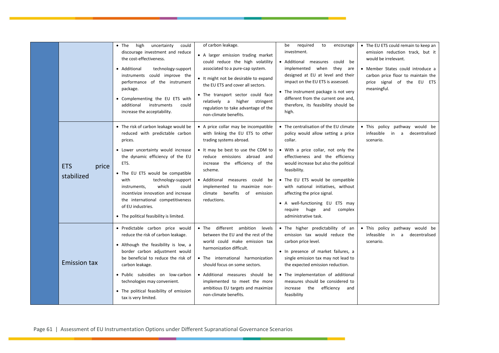|                                   | $\bullet$ The<br>high<br>uncertainty<br>could<br>discourage investment and reduce<br>the cost-effectiveness.<br>• Additional<br>technology-support<br>instruments could improve the<br>performance of the instrument<br>package.<br>• Complementing the EU ETS with<br>additional<br>instruments<br>could<br>increase the acceptability.                                                                              | of carbon leakage.<br>• A larger emission trading market<br>could reduce the high volatility<br>associated to a pure-cap system.<br>• It might not be desirable to expand<br>the EU ETS and cover all sectors.<br>. The transport sector could face<br>relatively a higher stringent<br>regulation to take advantage of the<br>non-climate benefits. | required<br>be<br>to<br>encourage<br>investment.<br>• Additional measures could be<br>implemented when<br>they are<br>designed at EU at level and their<br>impact on the EU ETS is assessed.<br>• The instrument package is not very<br>different from the current one and,<br>therefore, its feasibility should be<br>high.                                                                                                   | • The EU ETS could remain to keep an<br>emission reduction track, but it<br>would be irrelevant.<br>• Member States could introduce a<br>carbon price floor to maintain the<br>of the EU ETS<br>price signal<br>meaningful. |
|-----------------------------------|-----------------------------------------------------------------------------------------------------------------------------------------------------------------------------------------------------------------------------------------------------------------------------------------------------------------------------------------------------------------------------------------------------------------------|------------------------------------------------------------------------------------------------------------------------------------------------------------------------------------------------------------------------------------------------------------------------------------------------------------------------------------------------------|--------------------------------------------------------------------------------------------------------------------------------------------------------------------------------------------------------------------------------------------------------------------------------------------------------------------------------------------------------------------------------------------------------------------------------|-----------------------------------------------------------------------------------------------------------------------------------------------------------------------------------------------------------------------------|
| <b>ETS</b><br>price<br>stabilized | • The risk of carbon leakage would be<br>reduced with predictable carbon<br>prices.<br>• Lower uncertainty would increase<br>the dynamic efficiency of the EU<br>ETS.<br>• The EU ETS would be compatible<br>with<br>technology-support<br>which<br>instruments,<br>could<br>incentivize innovation and increase<br>the international competitiveness<br>of EU industries.<br>• The political feasibility is limited. | • A price collar may be incompatible<br>with linking the EU ETS to other<br>trading systems abroad.<br>• It may be best to use the CDM to<br>reduce emissions abroad and<br>increase the efficiency of the<br>scheme.<br>• Additional<br>measures could be<br>implemented to maximize non-<br>climate benefits<br>of<br>emission<br>reductions.      | • The centralisation of the EU climate<br>policy would allow setting a price<br>collar.<br>• With a price collar, not only the<br>effectiveness and the efficiency<br>would increase but also the political<br>feasibility.<br>• The EU ETS would be compatible<br>with national initiatives, without<br>affecting the price signal.<br>• A well-functioning EU ETS may<br>require huge and<br>complex<br>administrative task. | . This policy pathway would be<br>infeasible<br>decentralised<br>in<br>a<br>scenario.                                                                                                                                       |
| <b>Emission tax</b>               | · Predictable carbon price would<br>reduce the risk of carbon leakage.<br>• Although the feasibility is low, a<br>border carbon adjustment would<br>be beneficial to reduce the risk of<br>carbon leakage.<br>• Public subsidies on low-carbon<br>technologies may convenient.<br>• The political feasibility of emission<br>tax is very limited.                                                                     | • The different ambition levels<br>between the EU and the rest of the<br>world could make emission tax<br>harmonization difficult.<br>• The international harmonization<br>should focus on some sectors.<br>• Additional measures should be<br>implemented to meet the more<br>ambitious EU targets and maximize<br>non-climate benefits.            | . The higher predictability of an<br>emission tax would reduce the<br>carbon price level.<br>• In presence of market failures, a<br>single emission tax may not lead to<br>the expected emission reduction.<br>• The implementation of additional<br>measures should be considered to<br>efficiency<br>increase<br>the<br>and<br>feasibility                                                                                   | . This policy pathway would be<br>infeasible<br>decentralised<br>in<br>a<br>scenario.                                                                                                                                       |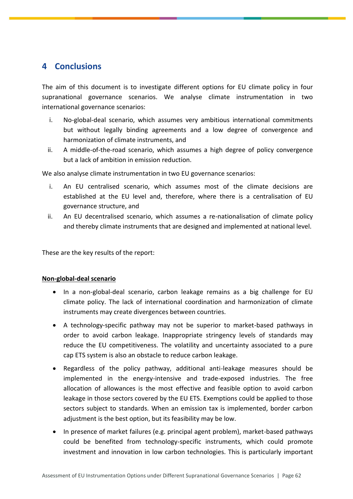# <span id="page-62-0"></span>**4 Conclusions**

The aim of this document is to investigate different options for EU climate policy in four supranational governance scenarios. We analyse climate instrumentation in two international governance scenarios:

- i. No-global-deal scenario, which assumes very ambitious international commitments but without legally binding agreements and a low degree of convergence and harmonization of climate instruments, and
- ii. A middle-of-the-road scenario, which assumes a high degree of policy convergence but a lack of ambition in emission reduction.

We also analyse climate instrumentation in two EU governance scenarios:

- i. An EU centralised scenario, which assumes most of the climate decisions are established at the EU level and, therefore, where there is a centralisation of EU governance structure, and
- ii. An EU decentralised scenario, which assumes a re-nationalisation of climate policy and thereby climate instruments that are designed and implemented at national level.

These are the key results of the report:

## **Non-global-deal scenario**

- In a non-global-deal scenario, carbon leakage remains as a big challenge for EU climate policy. The lack of international coordination and harmonization of climate instruments may create divergences between countries.
- A technology-specific pathway may not be superior to market-based pathways in order to avoid carbon leakage. Inappropriate stringency levels of standards may reduce the EU competitiveness. The volatility and uncertainty associated to a pure cap ETS system is also an obstacle to reduce carbon leakage.
- Regardless of the policy pathway, additional anti-leakage measures should be implemented in the energy-intensive and trade-exposed industries. The free allocation of allowances is the most effective and feasible option to avoid carbon leakage in those sectors covered by the EU ETS. Exemptions could be applied to those sectors subject to standards. When an emission tax is implemented, border carbon adjustment is the best option, but its feasibility may be low.
- In presence of market failures (e.g. principal agent problem), market-based pathways could be benefited from technology-specific instruments, which could promote investment and innovation in low carbon technologies. This is particularly important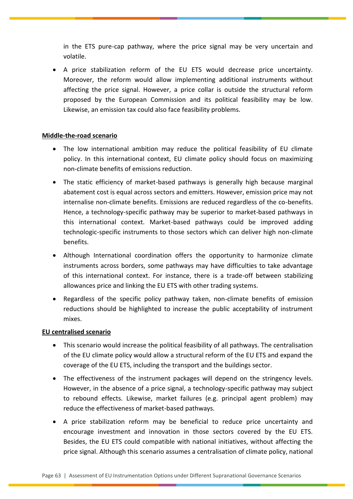in the ETS pure-cap pathway, where the price signal may be very uncertain and volatile.

 A price stabilization reform of the EU ETS would decrease price uncertainty. Moreover, the reform would allow implementing additional instruments without affecting the price signal. However, a price collar is outside the structural reform proposed by the European Commission and its political feasibility may be low. Likewise, an emission tax could also face feasibility problems.

## **Middle-the-road scenario**

- The low international ambition may reduce the political feasibility of EU climate policy. In this international context, EU climate policy should focus on maximizing non-climate benefits of emissions reduction.
- The static efficiency of market-based pathways is generally high because marginal abatement cost is equal across sectors and emitters. However, emission price may not internalise non-climate benefits. Emissions are reduced regardless of the co-benefits. Hence, a technology-specific pathway may be superior to market-based pathways in this international context. Market-based pathways could be improved adding technologic-specific instruments to those sectors which can deliver high non-climate benefits.
- Although International coordination offers the opportunity to harmonize climate instruments across borders, some pathways may have difficulties to take advantage of this international context. For instance, there is a trade-off between stabilizing allowances price and linking the EU ETS with other trading systems.
- Regardless of the specific policy pathway taken, non-climate benefits of emission reductions should be highlighted to increase the public acceptability of instrument mixes.

## **EU centralised scenario**

- This scenario would increase the political feasibility of all pathways. The centralisation of the EU climate policy would allow a structural reform of the EU ETS and expand the coverage of the EU ETS, including the transport and the buildings sector.
- The effectiveness of the instrument packages will depend on the stringency levels. However, in the absence of a price signal, a technology-specific pathway may subject to rebound effects. Likewise, market failures (e.g. principal agent problem) may reduce the effectiveness of market-based pathways.
- A price stabilization reform may be beneficial to reduce price uncertainty and encourage investment and innovation in those sectors covered by the EU ETS. Besides, the EU ETS could compatible with national initiatives, without affecting the price signal. Although this scenario assumes a centralisation of climate policy, national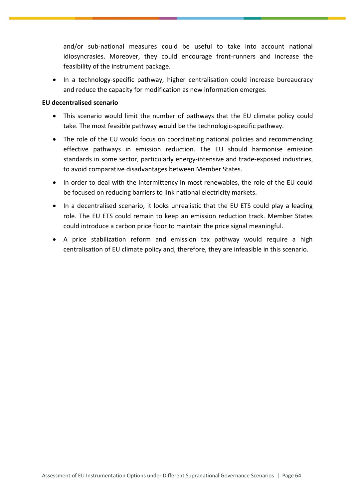and/or sub-national measures could be useful to take into account national idiosyncrasies. Moreover, they could encourage front-runners and increase the feasibility of the instrument package.

• In a technology-specific pathway, higher centralisation could increase bureaucracy and reduce the capacity for modification as new information emerges.

## **EU decentralised scenario**

- This scenario would limit the number of pathways that the EU climate policy could take. The most feasible pathway would be the technologic-specific pathway.
- The role of the EU would focus on coordinating national policies and recommending effective pathways in emission reduction. The EU should harmonise emission standards in some sector, particularly energy-intensive and trade-exposed industries, to avoid comparative disadvantages between Member States.
- In order to deal with the intermittency in most renewables, the role of the EU could be focused on reducing barriers to link national electricity markets.
- In a decentralised scenario, it looks unrealistic that the EU ETS could play a leading role. The EU ETS could remain to keep an emission reduction track. Member States could introduce a carbon price floor to maintain the price signal meaningful.
- A price stabilization reform and emission tax pathway would require a high centralisation of EU climate policy and, therefore, they are infeasible in this scenario.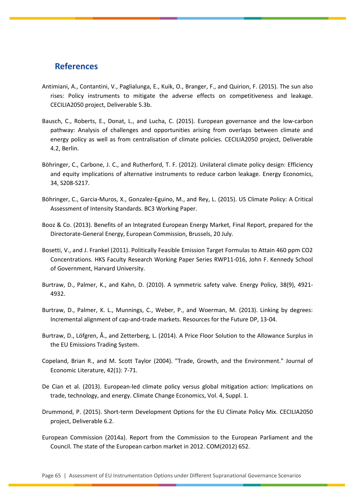## <span id="page-65-0"></span>**References**

- Antimiani, A., Contantini, V., Paglialunga, E., Kuik, O., Branger, F., and Quirion, F. (2015). The sun also rises: Policy instruments to mitigate the adverse effects on competitiveness and leakage. CECILIA2050 project, Deliverable 5.3b.
- Bausch, C., Roberts, E., Donat, L., and Lucha, C. (2015). European governance and the low-carbon pathway: Analysis of challenges and opportunities arising from overlaps between climate and energy policy as well as from centralisation of climate policies. CECILIA2050 project, Deliverable 4.2, Berlin.
- Böhringer, C., Carbone, J. C., and Rutherford, T. F. (2012). Unilateral climate policy design: Efficiency and equity implications of alternative instruments to reduce carbon leakage. Energy Economics, 34, S208-S217.
- Böhringer, C., Garcia-Muros, X., Gonzalez-Eguino, M., and Rey, L. (2015). US Climate Policy: A Critical Assessment of Intensity Standards. BC3 Working Paper.
- Booz & Co. (2013). Benefits of an Integrated European Energy Market, Final Report, prepared for the Directorate-General Energy, European Commission, Brussels, 20 July.
- Bosetti, V., and J. Frankel (2011). Politically Feasible Emission Target Formulas to Attain 460 ppm CO2 Concentrations. HKS Faculty Research Working Paper Series RWP11-016, John F. Kennedy School of Government, Harvard University.
- Burtraw, D., Palmer, K., and Kahn, D. (2010). A symmetric safety valve. Energy Policy, 38(9), 4921- 4932.
- Burtraw, D., Palmer, K. L., Munnings, C., Weber, P., and Woerman, M. (2013). Linking by degrees: Incremental alignment of cap-and-trade markets. Resources for the Future DP, 13-04.
- Burtraw, D., Löfgren, Å., and Zetterberg, L. (2014). A Price Floor Solution to the Allowance Surplus in the EU Emissions Trading System.
- Copeland, Brian R., and M. Scott Taylor (2004). "Trade, Growth, and the Environment." Journal of Economic Literature, 42(1): 7-71.
- De Cian et al. (2013). European-led climate policy versus global mitigation action: Implications on trade, technology, and energy. Climate Change Economics, Vol. 4, Suppl. 1.
- Drummond, P. (2015). Short-term Development Options for the EU Climate Policy Mix. CECILIA2050 project, Deliverable 6.2.
- European Commission (2014a). Report from the Commission to the European Parliament and the Council. The state of the European carbon market in 2012. COM(2012) 652.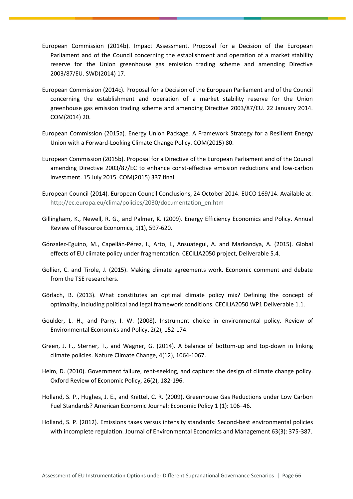- European Commission (2014b). Impact Assessment. Proposal for a Decision of the European Parliament and of the Council concerning the establishment and operation of a market stability reserve for the Union greenhouse gas emission trading scheme and amending Directive 2003/87/EU. SWD(2014) 17.
- European Commission (2014c). Proposal for a Decision of the European Parliament and of the Council concerning the establishment and operation of a market stability reserve for the Union greenhouse gas emission trading scheme and amending Directive 2003/87/EU. 22 January 2014. COM(2014) 20.
- European Commission (2015a). Energy Union Package. A Framework Strategy for a Resilient Energy Union with a Forward-Looking Climate Change Policy. COM(2015) 80.
- European Commission (2015b). Proposal for a Directive of the European Parliament and of the Council amending Directive 2003/87/EC to enhance const-effective emission reductions and low-carbon investment. 15 July 2015. COM(2015) 337 final.
- European Council (2014). European Council Conclusions, 24 October 2014. EUCO 169/14. Available at: [http://ec.europa.eu/clima/policies/2030/documentation\\_en.htm](http://ec.europa.eu/clima/policies/2030/documentation_en.htm)
- Gillingham, K., Newell, R. G., and Palmer, K. (2009). Energy Efficiency Economics and Policy. Annual Review of Resource Economics, 1(1), 597-620.
- Gónzalez-Eguino, M., Capellán-Pérez, I., Arto, I., Ansuategui, A. and Markandya, A. (2015). Global effects of EU climate policy under fragmentation. CECILIA2050 project, Deliverable 5.4.
- Gollier, C. and Tirole, J. (2015). Making climate agreements work. Economic comment and debate from the TSE researchers.
- Görlach, B. (2013). What constitutes an optimal climate policy mix? Defining the concept of optimality, including political and legal framework conditions. CECILIA2050 WP1 Deliverable 1.1.
- Goulder, L. H., and Parry, I. W. (2008). Instrument choice in environmental policy. Review of Environmental Economics and Policy, 2(2), 152-174.
- Green, J. F., Sterner, T., and Wagner, G. (2014). A balance of bottom-up and top-down in linking climate policies. Nature Climate Change, 4(12), 1064-1067.
- Helm, D. (2010). Government failure, rent-seeking, and capture: the design of climate change policy. Oxford Review of Economic Policy, 26(2), 182-196.
- Holland, S. P., Hughes, J. E., and Knittel, C. R. (2009). Greenhouse Gas Reductions under Low Carbon Fuel Standards? American Economic Journal: Economic Policy 1 (1): 106–46.
- Holland, S. P. (2012). Emissions taxes versus intensity standards: Second-best environmental policies with incomplete regulation. Journal of Environmental Economics and Management 63(3): 375-387.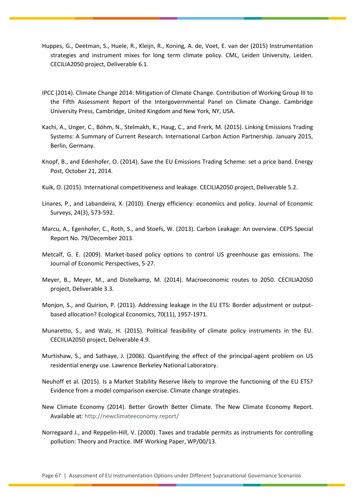- Huppes, G., Deetman, S., Huele, R., Kleijn, R., Koning, A. de, Voet, E. van der (2015) Instrumentation strategies and instrument mixes for long term climate policy. CML, Leiden University, Leiden. CECILIA2050 project, Deliverable 6.1.
- IPCC (2014). Climate Change 2014: Mitigation of Climate Change. Contribution of Working Group III to the Fifth Assessment Report of the Intergovernmental Panel on Climate Change. Cambridge University Press, Cambridge, United Kingdom and New York, NY, USA.
- Kachi, A., Unger, C., Böhm, N., Stelmakh, K., Haug, C., and Frerk, M. (2015). Linking Emissions Trading Systems: A Summary of Current Research. International Carbon Action Partnership. January 2015, Berlin, Germany.
- Knopf, B., and Edenhofer, O. (2014). Save the EU Emissions Trading Scheme: set a price band. Energy Post, October 21, 2014.
- Kuik, O. (2015). International competitiveness and leakage. CECILIA2050 project, Deliverable 5.2.
- Linares, P., and Labandeira, X. (2010). Energy efficiency: economics and policy. Journal of Economic Surveys, 24(3), 573-592.
- Marcu, A., Egenhofer, C., Roth, S., and Stoefs, W. (2013). Carbon Leakage: An overview. CEPS Special Report No. 79/December 2013.
- Metcalf, G. E. (2009). Market-based policy options to control US greenhouse gas emissions. The Journal of Economic Perspectives, 5-27.
- Meyer, B., Meyer, M., and Distelkamp, M. (2014). Macroeconomic routes to 2050. CECIILIA2050 project, Deliverable 3.3.
- Monjon, S., and Quirion, P. (2011). Addressing leakage in the EU ETS: Border adjustment or outputbased allocation? Ecological Economics, 70(11), 1957-1971.
- Munaretto, S., and Walz, H. (2015). Political feasibility of climate policy instruments in the EU. CECIILIA2050 project, Deliverable 4.9.
- Murtishaw, S., and Sathaye, J. (2006). Quantifying the effect of the principal-agent problem on US residential energy use. Lawrence Berkeley National Laboratory.
- Neuhoff et al. (2015). Is a Market Stability Reserve likely to improve the functioning of the EU ETS? Evidence from a model comparison exercise. Climate change strategies.
- New Climate Economy (2014). Better Growth Better Climate. The New Climate Economy Report. Available at[: http://newclimateeconomy.report/](http://newclimateeconomy.report/)
- Norregaard J., and Reppelin-Hill, V. (2000). Taxes and tradable permits as instruments for controlling pollution: Theory and Practice. IMF Working Paper, WP/00/13.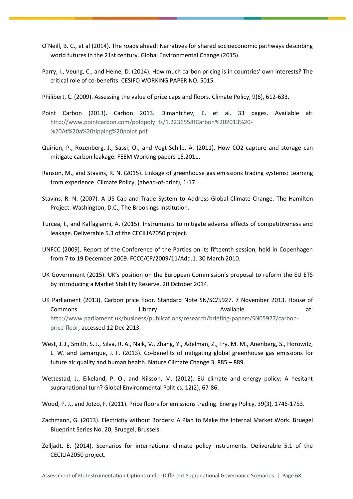- O'Neill, B. C., et al (2014). The roads ahead: Narratives for shared socioeconomic pathways describing world futures in the 21st century. Global Environmental Change (2015).
- Parry, I., Veung, C., and Heine, D. (2014). How much carbon pricing is in countries' own interests? The critical role of co-benefits. CESIFO WORKING PAPER NO. 5015.
- Philibert, C. (2009). Assessing the value of price caps and floors. Climate Policy, 9(6), 612-633.
- Point Carbon (2013). Carbon 2013. Dimantchev, E. et al. 33 pages. Available at: [http://www.pointcarbon.com/polopoly\\_fs/1.2236558!Carbon%202013%20-](http://www.pointcarbon.com/polopoly_fs/1.2236558!Carbon%202013%20-%20At%20a%20tipping%20point.pdf) [%20At%20a%20tipping%20point.pdf](http://www.pointcarbon.com/polopoly_fs/1.2236558!Carbon%202013%20-%20At%20a%20tipping%20point.pdf)
- Quirion, P., Rozenberg, J., Sassi, O., and Vogt-Schilb, A. (2011). How CO2 capture and storage can mitigate carbon leakage. FEEM Working papers 15.2011.
- Ranson, M., and Stavins, R. N. (2015). Linkage of greenhouse gas emissions trading systems: Learning from experience. Climate Policy, (ahead-of-print), 1-17.
- Stavins, R. N. (2007). A US Cap-and-Trade System to Address Global Climate Change. The Hamilton Project. Washington, D.C., The Brookings Institution.
- Turcea, I., and Kalfagianni, A. (2015). Instruments to mitigate adverse effects of competitiveness and leakage. Deliverable 5.3 of the CECILIA2050 project.
- UNFCC (2009). Report of the Conference of the Parties on its fifteenth session, held in Copenhagen from 7 to 19 December 2009. FCCC/CP/2009/11/Add.1. 30 March 2010.
- UK Government (2015). UK's position on the European Commission's proposal to reform the EU ETS by introducing a Market Stability Reserve. 20 October 2014.
- UK Parliament (2013). Carbon price floor. Standard Note SN/SC/5927. 7 November 2013. House of Commons at: Commons Library. Available at: [http://www.parliament.uk/business/publications/research/briefing-papers/SN05927/carbon](http://www.parliament.uk/business/publications/research/briefing-papers/SN05927/carbon-price-floor)[price-floor,](http://www.parliament.uk/business/publications/research/briefing-papers/SN05927/carbon-price-floor) accessed 12 Dec 2013.
- West, J. J., Smith, S. J., Silva, R. A., Naik, V., Zhang, Y., Adelman, Z., Fry, M. M., Anenberg, S., Horowitz, L. W. and Lamarque, J. F. (2013). Co-benefits of mitigating global greenhouse gas emissions for future air quality and human health. Nature Climate Change 3, 885 – 889.
- Wettestad, J., Eikeland, P. O., and Nilsson, M. (2012). EU climate and energy policy: A hesitant supranational turn? Global Environmental Politics, 12(2), 67-86.
- Wood, P. J., and Jotzo, F. (2011). Price floors for emissions trading. Energy Policy, 39(3), 1746-1753.
- Zachmann, G. (2013). Electricity without Borders: A Plan to Make the Internal Market Work. Bruegel Blueprint Series No. 20, Bruegel, Brussels.
- Zelljadt, E. (2014). Scenarios for international climate policy instruments. Deliverable 5.1 of the CECILIA2050 project.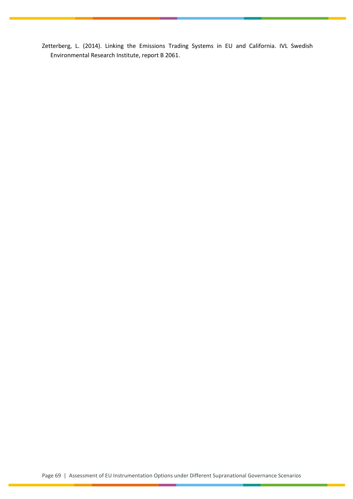Zetterberg, L. (2014). Linking the Emissions Trading Systems in EU and California. IVL Swedish Environmental Research Institute, report B 2061.